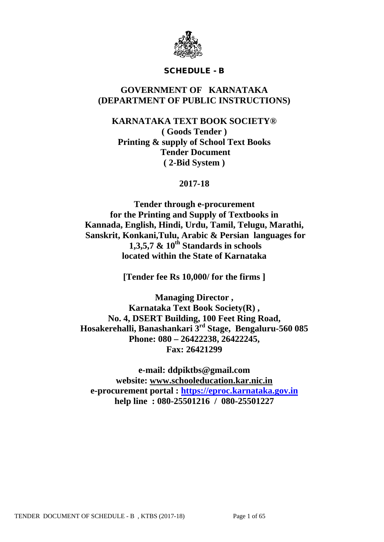

# SCHEDULE - B

# **GOVERNMENT OF KARNATAKA (DEPARTMENT OF PUBLIC INSTRUCTIONS)**

# **KARNATAKA TEXT BOOK SOCIETY® ( Goods Tender ) Printing & supply of School Text Books Tender Document ( 2-Bid System )**

# **2017-18**

**Tender through e-procurement for the Printing and Supply of Textbooks in Kannada, English, Hindi, Urdu, Tamil, Telugu, Marathi, Sanskrit, Konkani,Tulu, Arabic & Persian languages for** 1,3,5,7  $\&$  10<sup>th</sup> Standards in schools **located within the State of Karnataka**

**[Tender fee Rs 10,000/ for the firms ]**

**Managing Director , Karnataka Text Book Society(R) , No. 4, DSERT Building, 100 Feet Ring Road, Hosakerehalli, Banashankari 3rd Stage, Bengaluru-560 085 Phone: 080 – 26422238, 26422245, Fax: 26421299**

**e-mail: ddpiktbs@gmail.com website: [www.schooleducation.kar.nic.in](http://www.schooleducation.kar.nic.in/) e-procurement portal : [https://eproc.karnataka.gov.in](https://eproc.karnataka.gov.in/) help line : 080-25501216 / 080-25501227**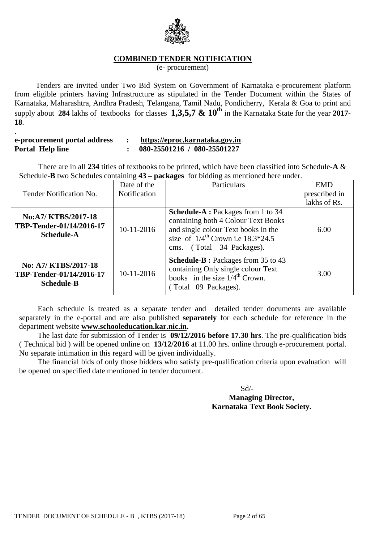

## **COMBINED TENDER NOTIFICATION**

(e- procurement)

 Tenders are invited under Two Bid System on Government of Karnataka e-procurement platform from eligible printers having Infrastructure as stipulated in the Tender Document within the States of Karnataka, Maharashtra, Andhra Pradesh, Telangana, Tamil Nadu, Pondicherry, Kerala & Goa to print and supply about **284** lakhs of textbooks for classes **1,3,5,7 & 10<sup>th</sup>** in the Karnataka State for the year **2017**-**18**.

| e-procurement portal address | https://eproc.karnataka.gov.in |
|------------------------------|--------------------------------|
| <b>Portal Help line</b>      | 080-25501216 / 080-25501227    |

.

 There are in all **234** titles of textbooks to be printed, which have been classified into Schedule-**A** & Schedule-**B** two Schedules containing **43 – packages** for bidding as mentioned here under.

|                                                                       | Date of the         | Particulars                                                                                                                                                                               | <b>EMD</b>    |
|-----------------------------------------------------------------------|---------------------|-------------------------------------------------------------------------------------------------------------------------------------------------------------------------------------------|---------------|
| Tender Notification No.                                               | <b>Notification</b> |                                                                                                                                                                                           | prescribed in |
|                                                                       |                     |                                                                                                                                                                                           | lakhs of Rs.  |
| No:A7/ KTBS/2017-18<br>TBP-Tender-01/14/2016-17<br><b>Schedule-A</b>  | $10-11-2016$        | Schedule-A: Packages from 1 to 34<br>containing both 4 Colour Text Books<br>and single colour Text books in the<br>size of $1/4^{th}$ Crown i.e 18.3*24.5<br>(Total 34 Packages).<br>cms. | 6.00          |
| No: A7/ KTBS/2017-18<br>TBP-Tender-01/14/2016-17<br><b>Schedule-B</b> | 10-11-2016          | <b>Schedule-B</b> : Packages from 35 to 43<br>containing Only single colour Text<br>books in the size $1/4^{\text{th}}$ Crown.<br>(Total 09 Packages).                                    | 3.00          |

Each schedule is treated as a separate tender and detailed tender documents are available separately in the e-portal and are also published **separately** for each schedule for reference in the department website **[www.schooleducation.kar.nic.in.](http://www.schooleducation.kar.nic.in/)**

The last date for submission of Tender is **09/12/2016 before 17.30 hrs**. The pre-qualification bids ( Technical bid ) will be opened online on **13/12/2016** at 11.00 hrs. online through e-procurement portal. No separate intimation in this regard will be given individually.

The financial bids of only those bidders who satisfy pre-qualification criteria upon evaluation will be opened on specified date mentioned in tender document.

 Sd/- **Managing Director, Karnataka Text Book Society.**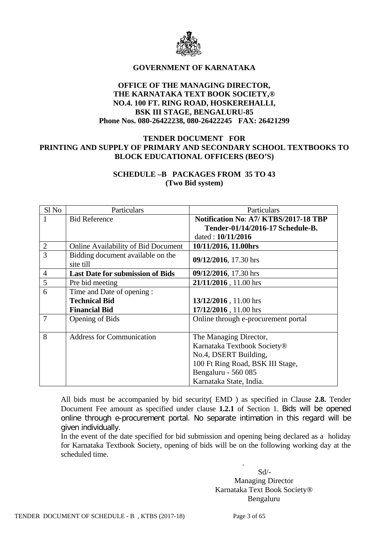

## **GOVERNMENT OF KARNATAKA**

## **OFFICE OF THE MANAGING DIRECTOR, THE KARNATAKA TEXT BOOK SOCIETY,® NO.4. 100 FT. RING ROAD, HOSKEREHALLI, BSK III STAGE, BENGALURU-85 Phone Nos. 080-26422238, 080-26422245 FAX: 26421299**

## **TENDER DOCUMENT FOR PRINTING AND SUPPLY OF PRIMARY AND SECONDARY SCHOOL TEXTBOOKS TO BLOCK EDUCATIONAL OFFICERS (BEO'S)**

# **SCHEDULE –B PACKAGES FROM 35 TO 43 (Two Bid system)**

| Sl No          | Particulars                                    | Particulars                                  |  |
|----------------|------------------------------------------------|----------------------------------------------|--|
| 1              | <b>Bid Reference</b>                           | <b>Notification No: A7/ KTBS/2017-18 TBP</b> |  |
|                |                                                | Tender-01/14/2016-17 Schedule-B.             |  |
|                |                                                | dated: 10/11/2016                            |  |
| $\overline{2}$ | <b>Online Availability of Bid Document</b>     | 10/11/2016, 11.00hrs                         |  |
| 3              | Bidding document available on the<br>site till | 09/12/2016, 17.30 hrs                        |  |
| $\overline{4}$ | <b>Last Date for submission of Bids</b>        | 09/12/2016, 17.30 hrs                        |  |
| 5              | Pre bid meeting                                | 21/11/2016, 11.00 hrs                        |  |
| 6              | Time and Date of opening :                     |                                              |  |
|                | <b>Technical Bid</b>                           | 13/12/2016, 11.00 hrs                        |  |
|                | <b>Financial Bid</b>                           | 17/12/2016, 11.00 hrs                        |  |
| 7              | <b>Opening of Bids</b>                         | Online through e-procurement portal          |  |
|                |                                                |                                              |  |
| 8              | <b>Address for Communication</b>               | The Managing Director,                       |  |
|                |                                                | Karnataka Textbook Society <sup>®</sup>      |  |
|                |                                                | No.4, DSERT Building,                        |  |
|                |                                                | 100 Ft Ring Road, BSK III Stage,             |  |
|                |                                                | Bengaluru - 560 085                          |  |
|                |                                                | Karnataka State, India.                      |  |

All bids must be accompanied by bid security( EMD ) as specified in Clause **2.8.** Tender Document Fee amount as specified under clause **1.2.1** of Section 1. Bids will be opened online through e-procurement portal. No separate intimation in this regard will be given individually.

In the event of the date specified for bid submission and opening being declared as a holiday for Karnataka Textbook Society, opening of bids will be on the following working day at the scheduled time.

.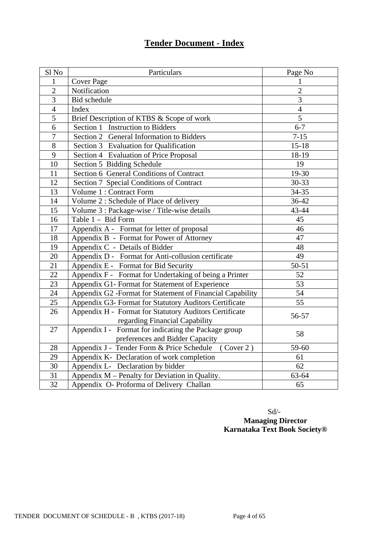# **Tender Document - Index**

| Sl No          | Particulars                                                                              | Page No        |
|----------------|------------------------------------------------------------------------------------------|----------------|
| 1              | <b>Cover Page</b>                                                                        | 1              |
| $\overline{2}$ | Notification                                                                             | $\overline{2}$ |
| 3              | <b>Bid</b> schedule                                                                      | 3              |
| $\overline{4}$ | Index                                                                                    | $\overline{4}$ |
| $\overline{5}$ | Brief Description of KTBS & Scope of work                                                | $\overline{5}$ |
| 6              | Section 1 Instruction to Bidders                                                         | $6 - 7$        |
| $\overline{7}$ | Section 2 General Information to Bidders                                                 | $7 - 15$       |
| $\overline{8}$ | Section 3 Evaluation for Qualification                                                   | $15 - 18$      |
| 9              | Section 4 Evaluation of Price Proposal                                                   | 18-19          |
| 10             | Section 5 Bidding Schedule                                                               | 19             |
| 11             | Section 6 General Conditions of Contract                                                 | 19-30          |
| 12             | Section 7 Special Conditions of Contract                                                 | 30-33          |
| 13             | Volume 1 : Contract Form                                                                 | 34-35          |
| 14             | Volume 2 : Schedule of Place of delivery                                                 | 36-42          |
| 15             | Volume 3 : Package-wise / Title-wise details                                             | 43-44          |
| 16             | Table 1 - Bid Form                                                                       | 45             |
| 17             | Appendix A - Format for letter of proposal                                               | 46             |
| 18             | Appendix B - Format for Power of Attorney                                                | 47             |
| 19             | Appendix C - Details of Bidder                                                           | 48             |
| 20             | Appendix D - Format for Anti-collusion certificate                                       | 49             |
| 21             | Appendix E - Format for Bid Security                                                     | $50 - 51$      |
| 22             | Appendix F - Format for Undertaking of being a Printer                                   | 52             |
| 23             | Appendix G1- Format for Statement of Experience                                          | 53             |
| 24             | Appendix G2 -Format for Statement of Financial Capability                                | 54             |
| 25             | Appendix G3- Format for Statutory Auditors Certificate                                   | 55             |
| 26             | Appendix H - Format for Statutory Auditors Certificate<br>regarding Financial Capability | 56-57          |
| 27             | Appendix I - Format for indicating the Package group<br>preferences and Bidder Capacity  | 58             |
| 28             | (Cover 2)<br>Appendix J - Tender Form & Price Schedule                                   | 59-60          |
| 29             | Appendix K- Declaration of work completion                                               | 61             |
| 30             | Appendix L- Declaration by bidder                                                        | 62             |
| 31             | Appendix M - Penalty for Deviation in Quality.                                           | 63-64          |
| 32             | Appendix O- Proforma of Delivery Challan                                                 | 65             |

 Sd/- **Managing Director Karnataka Text Book Society®**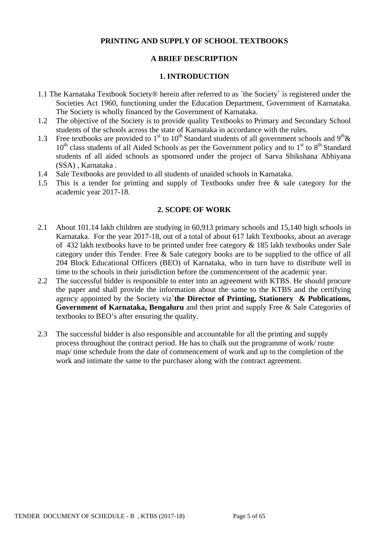## **PRINTING AND SUPPLY OF SCHOOL TEXTBOOKS**

## **A BRIEF DESCRIPTION**

#### **1. INTRODUCTION**

- 1.1 The Karnataka Textbook Society® herein after referred to as `the Society` is registered under the Societies Act 1960, functioning under the Education Department, Government of Karnataka. The Society is wholly financed by the Government of Karnataka.
- 1.2 The objective of the Society is to provide quality Textbooks to Primary and Secondary School students of the schools across the state of Karnataka in accordance with the rules.
- 1.3 Free textbooks are provided to 1<sup>st</sup> to 10<sup>th</sup> Standard students of all government schools and 9<sup>th</sup> &  $10<sup>th</sup>$  class students of all Aided Schools as per the Government policy and to  $1<sup>st</sup>$  to  $8<sup>th</sup>$  Standard students of all aided schools as sponsored under the project of Sarva Shikshana Abhiyana (SSA) , Karnataka .
- 1.4 Sale Textbooks are provided to all students of unaided schools in Karnataka.
- 1.5 This is a tender for printing and supply of Textbooks under free & sale category for the academic year 2017-18.

#### **2. SCOPE OF WORK**

- 2.1 About 101.14 lakh children are studying in 60,913 primary schools and 15,140 high schools in Karnataka. For the year 2017-18, out of a total of about 617 lakh Textbooks, about an average of 432 lakh textbooks have to be printed under free category & 185 lakh textbooks under Sale category under this Tender. Free & Sale category books are to be supplied to the office of all 204 Block Educational Officers (BEO) of Karnataka, who in turn have to distribute well in time to the schools in their jurisdiction before the commencement of the academic year.
- 2.2 The successful bidder is responsible to enter into an agreement with KTBS. He should procure the paper and shall provide the information about the same to the KTBS and the certifying agency appointed by the Society viz**`the Director of Printing, Stationery & Publications, Government of Karnataka, Bengaluru** and then print and supply Free & Sale Categories of textbooks to BEO's after ensuring the quality.
- 2.3 The successful bidder is also responsible and accountable for all the printing and supply process throughout the contract period. He has to chalk out the programme of work/ route map/ time schedule from the date of commencement of work and up to the completion of the work and intimate the same to the purchaser along with the contract agreement.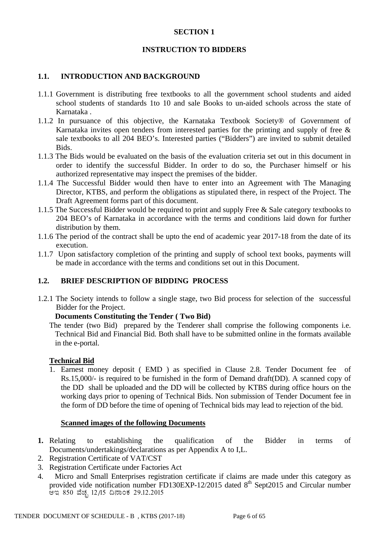## **SECTION 1**

## **INSTRUCTION TO BIDDERS**

#### **1.1. INTRODUCTION AND BACKGROUND**

- 1.1.1 Government is distributing free textbooks to all the government school students and aided school students of standards 1to 10 and sale Books to un-aided schools across the state of Karnataka .
- 1.1.2 In pursuance of this objective, the Karnataka Textbook Society® of Government of Karnataka invites open tenders from interested parties for the printing and supply of free  $\&$ sale textbooks to all 204 BEO's. Interested parties ("Bidders") are invited to submit detailed Bids.
- 1.1.3 The Bids would be evaluated on the basis of the evaluation criteria set out in this document in order to identify the successful Bidder. In order to do so, the Purchaser himself or his authorized representative may inspect the premises of the bidder.
- 1.1.4 The Successful Bidder would then have to enter into an Agreement with The Managing Director, KTBS, and perform the obligations as stipulated there, in respect of the Project. The Draft Agreement forms part of this document.
- 1.1.5 The Successful Bidder would be required to print and supply Free & Sale category textbooks to 204 BEO's of Karnataka in accordance with the terms and conditions laid down for further distribution by them.
- 1.1.6 The period of the contract shall be upto the end of academic year 2017-18 from the date of its execution.
- 1.1.7 Upon satisfactory completion of the printing and supply of school text books, payments will be made in accordance with the terms and conditions set out in this Document.

## **1.2. BRIEF DESCRIPTION OF BIDDING PROCESS**

1.2.1 The Society intends to follow a single stage, two Bid process for selection of the successful Bidder for the Project.

#### **Documents Constituting the Tender ( Two Bid)**

The tender (two Bid) prepared by the Tenderer shall comprise the following components i.e. Technical Bid and Financial Bid. Both shall have to be submitted online in the formats available in the e-portal.

#### **Technical Bid**

1. Earnest money deposit ( EMD ) as specified in Clause 2.8. Tender Document fee of Rs.15,000/- is required to be furnished in the form of Demand draft(DD). A scanned copy of the DD shall be uploaded and the DD will be collected by KTBS during office hours on the working days prior to opening of Technical Bids. Non submission of Tender Document fee in the form of DD before the time of opening of Technical bids may lead to rejection of the bid.

#### **Scanned images of the following Documents**

- **1.** Relating to establishing the qualification of the Bidder in terms of Documents/undertakings/declarations as per Appendix A to I,L.
- 2. Registration Certificate of VAT/CST
- 3. Registration Certificate under Factories Act
- 4. Micro and Small Enterprises registration certificate if claims are made under this category as provided vide notification number FD130EXP-12/2015 dated  $8<sup>th</sup>$  Sept2015 and Circular number ಆಇ 850 ವೆಚ್ಛ 12/15 ದಿನಾಂಕ 29.12.2015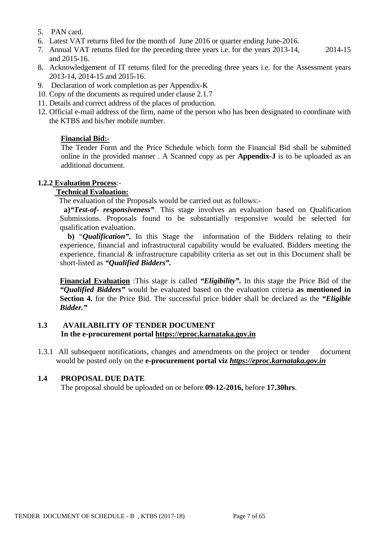- 5. PAN card.
- 6. Latest VAT returns filed for the month of June 2016 or quarter ending June-2016.
- 7. Annual VAT returns filed for the preceding three years i.e. for the years 2013-14, 2014-15 and 2015-16.
- 8. Acknowledgement of IT returns filed for the preceding three years i.e. for the Assessment years 2013-14, 2014-15 and 2015-16.
- 9. Declaration of work completion as per Appendix-K
- 10. Copy of the documents as required under clause 2.1.7
- 11. Details and correct address of the places of production.
- 12. Official e-mail address of the firm, name of the person who has been designated to coordinate with the KTBS and his/her mobile number.

## **Financial Bid:-**

The Tender Form and the Price Schedule which form the Financial Bid shall be submitted online in the provided manner . A Scanned copy as per **Appendix-J** is to be uploaded as an additional document.

## **1.2.2 Evaluation Process**:-

## **Technical Evaluation:**

The evaluation of the Proposals would be carried out as follows:-

**a)***"Test-of- responsiveness"*. This stage involves an evaluation based on Qualification Submissions. Proposals found to be substantially responsive would be selected for qualification evaluation.

 **b)** "*Qualification".* In this Stage the information of the Bidders relating to their experience, financial and infrastructural capability would be evaluated. Bidders meeting the experience, financial & infrastructure capability criteria as set out in this Document shall be short-listed as *"Qualified Bidders".*

**Financial Evaluation** :This stage is called *"Eligibility".* In this stage the Price Bid of the *"Qualified Bidders"* would be evaluated based on the evaluation criteria **as mentioned in Section 4.** for the Price Bid. The successful price bidder shall be declared as the *"Eligible Bidder."*

## **1.3 AVAILABILITY OF TENDER DOCUMENT In the e-procurement portal [https://eproc.karnataka.gov.in](https://eproc.karnataka.gov.in/)**

1.3.1 All subsequent notifications, changes and amendments on the project or tender document would be posted only on the **e-procurement portal viz** *[https://eproc.karnataka.gov.in](https://eproc.karnataka.gov.in/)*

## **1.4 PROPOSAL DUE DATE**

The proposal should be uploaded on or before **09-12-2016,** before **17.30hrs**.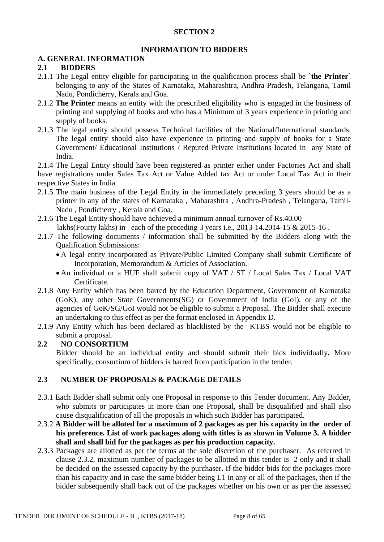## **SECTION 2**

# **INFORMATION TO BIDDERS**

## **A. GENERAL INFORMATION**

## **2.1 BIDDERS**

- 2.1.1 The Legal entity eligible for participating in the qualification process shall be `**the Printer**` belonging to any of the States of Karnataka, Maharashtra, Andhra-Pradesh, Telangana, Tamil Nadu, Pondicherry, Kerala and Goa.
- 2.1.2 **The Printer** means an entity with the prescribed eligibility who is engaged in the business of printing and supplying of books and who has a Minimum of 3 years experience in printing and supply of books.
- 2.1.3 The legal entity should possess Technical facilities of the National/International standards. The legal entity should also have experience in printing and supply of books for a State Government/ Educational Institutions / Reputed Private Institutions located in any State of India.

2.1.4 The Legal Entity should have been registered as printer either under Factories Act and shall have registrations under Sales Tax Act or Value Added tax Act or under Local Tax Act in their respective States in India.

- 2.1.5 The main business of the Legal Entity in the immediately preceding 3 years should be as a printer in any of the states of Karnataka , Maharashtra , Andhra-Pradesh , Telangana, Tamil-Nadu , Pondicherry , Kerala and Goa.
- 2.1.6 The Legal Entity should have achieved a minimum annual turnover of Rs.40.00
	- lakhs(Fourty lakhs) in each of the preceding 3 years i.e., 2013-14.2014-15 & 2015-16 .
- 2.1.7 The following documents / information shall be submitted by the Bidders along with the Qualification Submissions:
	- A legal entity incorporated as Private/Public Limited Company shall submit Certificate of Incorporation, Memorandum & Articles of Association.
	- An individual or a HUF shall submit copy of VAT / ST / Local Sales Tax / Local VAT Certificate.
- 2.1.8 Any Entity which has been barred by the Education Department, Government of Karnataka (GoK), any other State Governments(SG) or Government of India (GoI), or any of the agencies of GoK/SG/GoI would not be eligible to submit a Proposal. The Bidder shall execute an undertaking to this effect as per the format enclosed in Appendix D.
- 2.1.9 Any Entity which has been declared as blacklisted by the KTBS would not be eligible to submit a proposal.

# **2.2 NO CONSORTIUM**

Bidder should be an individual entity and should submit their bids individually*.* More specifically, consortium of bidders is barred from participation in the tender.

# **2.3 NUMBER OF PROPOSALS & PACKAGE DETAILS**

- 2.3.1 Each Bidder shall submit only one Proposal in response to this Tender document. Any Bidder, who submits or participates in more than one Proposal, shall be disqualified and shall also cause disqualification of all the proposals in which such Bidder has participated.
- 2.3.2 **A Bidder will be alloted for a maximum of 2 packages as per his capacity in the order of his preference. List of work packages along with titles is as shown in Volume 3. A bidder shall and shall bid for the packages as per his production capacity.**
- 2.3.3 Packages are allotted as per the terms at the sole discretion of the purchaser. As referred in clause 2.3.2, maximum number of packages to be allotted in this tender is 2 only and it shall be decided on the assessed capacity by the purchaser. If the bidder bids for the packages more than his capacity and in case the same bidder being L1 in any or all of the packages, then if the bidder subsequently shall back out of the packages whether on his own or as per the assessed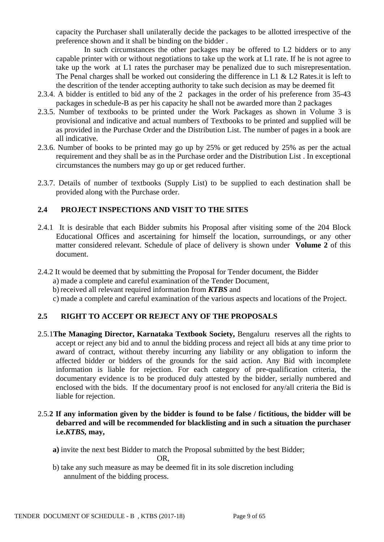capacity the Purchaser shall unilaterally decide the packages to be allotted irrespective of the preference shown and it shall be binding on the bidder .

In such circumstances the other packages may be offered to L2 bidders or to any capable printer with or without negotiations to take up the work at L1 rate. If he is not agree to take up the work at L1 rates the purchaser may be penalized due to such misrepresentation. The Penal charges shall be worked out considering the difference in L1 & L2 Rates.it is left to the descrition of the tender accepting authority to take such decision as may be deemed fit

- 2.3.4. A bidder is entitled to bid any of the 2 packages in the order of his preference from 35-43 packages in schedule-B as per his capacity he shall not be awarded more than 2 packages
- 2.3.5. Number of textbooks to be printed under the Work Packages as shown in Volume 3 is provisional and indicative and actual numbers of Textbooks to be printed and supplied will be as provided in the Purchase Order and the Distribution List. The number of pages in a book are all indicative.
- 2.3.6. Number of books to be printed may go up by 25% or get reduced by 25% as per the actual requirement and they shall be as in the Purchase order and the Distribution List . In exceptional circumstances the numbers may go up or get reduced further.
- 2.3.7. Details of number of textbooks (Supply List) to be supplied to each destination shall be provided along with the Purchase order.

# **2.4 PROJECT INSPECTIONS AND VISIT TO THE SITES**

- 2.4.1 It is desirable that each Bidder submits his Proposal after visiting some of the 204 Block Educational Offices and ascertaining for himself the location, surroundings, or any other matter considered relevant. Schedule of place of delivery is shown under **Volume 2** of this document.
- 2.4.2 It would be deemed that by submitting the Proposal for Tender document, the Bidder
	- a) made a complete and careful examination of the Tender Document,
	- b) received all relevant required information from *KTBS* and
	- c) made a complete and careful examination of the various aspects and locations of the Project.

# **2.5 RIGHT TO ACCEPT OR REJECT ANY OF THE PROPOSALS**

2.5.1**The Managing Director, Karnataka Textbook Society,** Bengaluru reserves all the rights to accept or reject any bid and to annul the bidding process and reject all bids at any time prior to award of contract, without thereby incurring any liability or any obligation to inform the affected bidder or bidders of the grounds for the said action. Any Bid with incomplete information is liable for rejection. For each category of pre-qualification criteria, the documentary evidence is to be produced duly attested by the bidder, serially numbered and enclosed with the bids. If the documentary proof is not enclosed for any/all criteria the Bid is liable for rejection.

## 2.5.**2 If any information given by the bidder is found to be false / fictitious, the bidder will be debarred and will be recommended for blacklisting and in such a situation the purchaser i.e.***KTBS,* **may,**

- **a)** invite the next best Bidder to match the Proposal submitted by the best Bidder; OR,
- b) take any such measure as may be deemed fit in its sole discretion including annulment of the bidding process.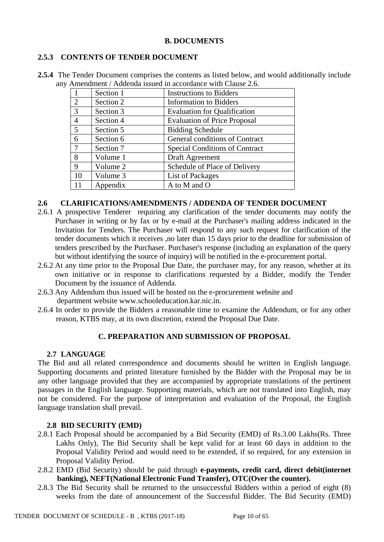# **2.5.3 CONTENTS OF TENDER DOCUMENT**

| 2.5.4 The Tender Document comprises the contents as listed below, and would additionally include |
|--------------------------------------------------------------------------------------------------|
| any Amendment / Addenda issued in accordance with Clause 2.6.                                    |

|                                                                             | Section 1 | <b>Instructions to Bidders</b>        |  |
|-----------------------------------------------------------------------------|-----------|---------------------------------------|--|
| 2                                                                           | Section 2 | <b>Information to Bidders</b>         |  |
| 3                                                                           | Section 3 | <b>Evaluation for Qualification</b>   |  |
| $\overline{4}$                                                              | Section 4 | <b>Evaluation of Price Proposal</b>   |  |
| 5                                                                           | Section 5 | <b>Bidding Schedule</b>               |  |
| 6                                                                           | Section 6 | General conditions of Contract        |  |
| 7                                                                           | Section 7 | <b>Special Conditions of Contract</b> |  |
| 8                                                                           | Volume 1  | Draft Agreement                       |  |
| 9                                                                           | Volume 2  | Schedule of Place of Delivery         |  |
| 10<br><b>List of Packages</b><br>Volume 3<br>11<br>A to M and O<br>Appendix |           |                                       |  |
|                                                                             |           |                                       |  |

## **2.6 CLARIFICATIONS/AMENDMENTS / ADDENDA OF TENDER DOCUMENT**

- 2.6.1 A prospective Tenderer requiring any clarification of the tender documents may notify the Purchaser in writing or by fax or by e-mail at the Purchaser's mailing address indicated in the Invitation for Tenders. The Purchaser will respond to any such request for clarification of the tender documents which it receives ,no later than 15 days prior to the deadline for submission of tenders prescribed by the Purchaser. Purchaser's response (including an explanation of the query but without identifying the source of inquiry) will be notified in the e-procurement portal.
- 2.6.2 At any time prior to the Proposal Due Date, the purchaser may, for any reason, whether at its own initiative or in response to clarifications requested by a Bidder, modify the Tender Document by the issuance of Addenda.
- 2.6.3 Any Addendum thus issued will be hosted on the e-procurement website and department website www.schooleducation.kar.nic.in.
- 2.6.4 In order to provide the Bidders a reasonable time to examine the Addendum, or for any other reason, KTBS may, at its own discretion, extend the Proposal Due Date.

# **C. PREPARATION AND SUBMISSION OF PROPOSAL**

# **2.7 LANGUAGE**

The Bid and all related correspondence and documents should be written in English language. Supporting documents and printed literature furnished by the Bidder with the Proposal may be in any other language provided that they are accompanied by appropriate translations of the pertinent passages in the English language. Supporting materials, which are not translated into English, may not be considered. For the purpose of interpretation and evaluation of the Proposal, the English language translation shall prevail.

# **2.8 BID SECURITY (EMD)**

- 2.8.1 Each Proposal should be accompanied by a Bid Security (EMD) of Rs.3.00 Lakhs(Rs. Three Lakhs Only), The Bid Security shall be kept valid for at least 60 days in addition to the Proposal Validity Period and would need to be extended, if so required, for any extension in Proposal Validity Period.
- 2.8.2 EMD (Bid Security) should be paid through **e-payments, credit card, direct debit(internet banking), NEFT(National Electronic Fund Transfer), OTC(Over the counter).**
- 2.8.3 The Bid Security shall be returned to the unsuccessful Bidders within a period of eight (8) weeks from the date of announcement of the Successful Bidder. The Bid Security (EMD)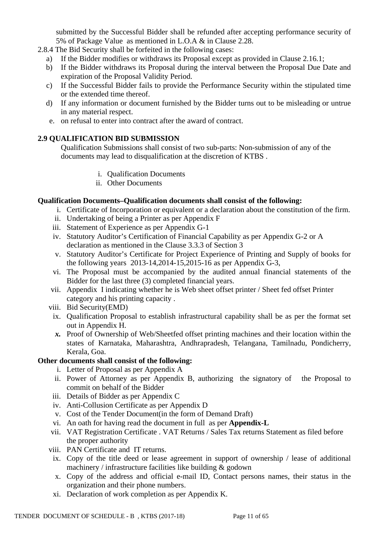submitted by the Successful Bidder shall be refunded after accepting performance security of 5% of Package Value as mentioned in L.O.A & in Clause 2.28.

2.8.4 The Bid Security shall be forfeited in the following cases:

- a) If the Bidder modifies or withdraws its Proposal except as provided in Clause 2.16.1;
- b) If the Bidder withdraws its Proposal during the interval between the Proposal Due Date and expiration of the Proposal Validity Period.
- c) If the Successful Bidder fails to provide the Performance Security within the stipulated time or the extended time thereof.
- d) If any information or document furnished by the Bidder turns out to be misleading or untrue in any material respect.
- e. on refusal to enter into contract after the award of contract.

## **2.9 QUALIFICATION BID SUBMISSION**

Qualification Submissions shall consist of two sub-parts: Non-submission of any of the documents may lead to disqualification at the discretion of KTBS .

- i. Qualification Documents
- ii. Other Documents

## **Qualification Documents***–***Qualification documents shall consist of the following:**

- i. Certificate of Incorporation or equivalent or a declaration about the constitution of the firm.
- ii. Undertaking of being a Printer as per Appendix F
- iii. Statement of Experience as per Appendix G-1
- iv. Statutory Auditor's Certification of Financial Capability as per Appendix G-2 or A declaration as mentioned in the Clause 3.3.3 of Section 3
- v. Statutory Auditor's Certificate for Project Experience of Printing and Supply of books for the following years 2013-14,2014-15,2015-16 as per Appendix G-3,
- vi. The Proposal must be accompanied by the audited annual financial statements of the Bidder for the last three (3) completed financial years.
- vii. Appendix I indicating whether he is Web sheet offset printer / Sheet fed offset Printer category and his printing capacity .
- viii. Bid Security(EMD)
	- ix. Qualification Proposal to establish infrastructural capability shall be as per the format set out in Appendix H.
	- *x.* Proof of Ownership of Web/Sheetfed offset printing machines and their location within the states of Karnataka, Maharashtra, Andhrapradesh, Telangana, Tamilnadu, Pondicherry, Kerala, Goa.

# **Other documents shall consist of the following:**

- i. Letter of Proposal as per Appendix A
- ii. Power of Attorney as per Appendix B, authorizing the signatory of the Proposal to commit on behalf of the Bidder
- iii. Details of Bidder as per Appendix C
- iv. Anti-Collusion Certificate as per Appendix D
- v. Cost of the Tender Document(in the form of Demand Draft)
- vi. An oath for having read the document in full as per **Appendix-L**
- vii. VAT Registration Certificate . VAT Returns / Sales Tax returns Statement as filed before the proper authority
- viii. PAN Certificate and IT returns.
	- ix. Copy of the title deed or lease agreement in support of ownership / lease of additional machinery / infrastructure facilities like building & godown
	- x. Copy of the address and official e-mail ID, Contact persons names, their status in the organization and their phone numbers.
	- xi. Declaration of work completion as per Appendix K.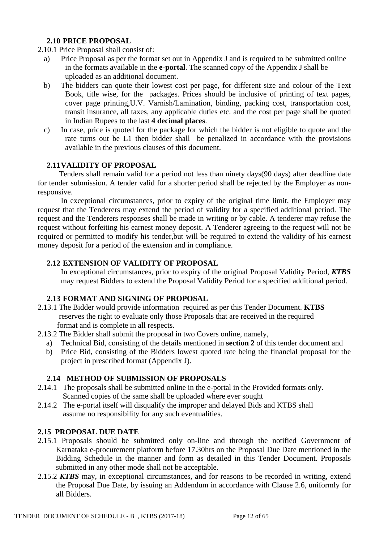# **2.10 PRICE PROPOSAL**

2.10.1 Price Proposal shall consist of:

- a) Price Proposal as per the format set out in Appendix J and is required to be submitted online in the formats available in the **e-portal**. The scanned copy of the Appendix J shall be uploaded as an additional document.
- b) The bidders can quote their lowest cost per page, for different size and colour of the Text Book, title wise, for the packages. Prices should be inclusive of printing of text pages, cover page printing,U.V. Varnish/Lamination, binding, packing cost, transportation cost, transit insurance, all taxes, any applicable duties etc. and the cost per page shall be quoted in Indian Rupees to the last **4 decimal places**.
- c) In case, price is quoted for the package for which the bidder is not eligible to quote and the rate turns out be L1 then bidder shall be penalized in accordance with the provisions available in the previous clauses of this document.

# **2.11VALIDITY OF PROPOSAL**

 Tenders shall remain valid for a period not less than ninety days(90 days) after deadline date for tender submission. A tender valid for a shorter period shall be rejected by the Employer as nonresponsive.

 In exceptional circumstances, prior to expiry of the original time limit, the Employer may request that the Tenderers may extend the period of validity for a specified additional period. The request and the Tenderers responses shall be made in writing or by cable. A tenderer may refuse the request without forfeiting his earnest money deposit. A Tenderer agreeing to the request will not be required or permitted to modify his tender,but will be required to extend the validity of his earnest money deposit for a period of the extension and in compliance.

## **2.12 EXTENSION OF VALIDITY OF PROPOSAL**

In exceptional circumstances, prior to expiry of the original Proposal Validity Period, *KTBS* may request Bidders to extend the Proposal Validity Period for a specified additional period.

# **2.13 FORMAT AND SIGNING OF PROPOSAL**

- 2.13.1 The Bidder would provide information required as per this Tender Document. **KTBS**  reserves the right to evaluate only those Proposals that are received in the required format and is complete in all respects.
- 2.13.2 The Bidder shall submit the proposal in two Covers online, namely,
	- a) Technical Bid, consisting of the details mentioned in **section 2** of this tender document and
	- b) Price Bid, consisting of the Bidders lowest quoted rate being the financial proposal for the project in prescribed format (Appendix J).

## **2.14 METHOD OF SUBMISSION OF PROPOSALS**

- 2.14.1 The proposals shall be submitted online in the e-portal in the Provided formats only. Scanned copies of the same shall be uploaded where ever sought
- 2.14.2 The e-portal itself will disqualify the improper and delayed Bids and KTBS shall assume no responsibility for any such eventualities.

## **2.15 PROPOSAL DUE DATE**

- 2.15.1 Proposals should be submitted only on-line and through the notified Government of Karnataka e-procurement platform before 17.30hrs on the Proposal Due Date mentioned in the Bidding Schedule in the manner and form as detailed in this Tender Document. Proposals submitted in any other mode shall not be acceptable.
- 2.15.2 *KTBS* may, in exceptional circumstances, and for reasons to be recorded in writing, extend the Proposal Due Date, by issuing an Addendum in accordance with Clause 2.6, uniformly for all Bidders.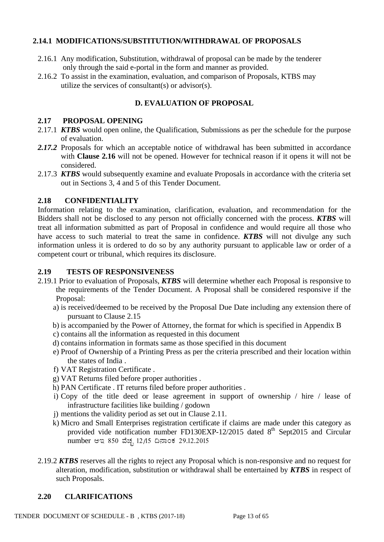# **2.14.1 MODIFICATIONS/SUBSTITUTION/WITHDRAWAL OF PROPOSALS**

- 2.16.1 Any modification, Substitution, withdrawal of proposal can be made by the tenderer only through the said e-portal in the form and manner as provided.
- 2.16.2 To assist in the examination, evaluation, and comparison of Proposals, KTBS may utilize the services of consultant(s) or advisor(s).

# **D. EVALUATION OF PROPOSAL**

#### **2.17 PROPOSAL OPENING**

- 2.17.1 *KTBS* would open online, the Qualification, Submissions as per the schedule for the purpose of evaluation.
- *2.17.2* Proposals for which an acceptable notice of withdrawal has been submitted in accordance with **Clause 2.16** will not be opened. However for technical reason if it opens it will not be considered.
- 2.17.3 *KTBS* would subsequently examine and evaluate Proposals in accordance with the criteria set out in Sections 3, 4 and 5 of this Tender Document.

## **2.18 CONFIDENTIALITY**

Information relating to the examination, clarification, evaluation, and recommendation for the Bidders shall not be disclosed to any person not officially concerned with the process. *KTBS* will treat all information submitted as part of Proposal in confidence and would require all those who have access to such material to treat the same in confidence. *KTBS* will not divulge any such information unless it is ordered to do so by any authority pursuant to applicable law or order of a competent court or tribunal, which requires its disclosure.

## **2.19 TESTS OF RESPONSIVENESS**

- 2.19.1 Prior to evaluation of Proposals, *KTBS* will determine whether each Proposal is responsive to the requirements of the Tender Document. A Proposal shall be considered responsive if the Proposal:
	- a) is received/deemed to be received by the Proposal Due Date including any extension there of pursuant to Clause 2.15
	- b) is accompanied by the Power of Attorney, the format for which is specified in Appendix B
	- c) contains all the information as requested in this document
	- d) contains information in formats same as those specified in this document
	- e) Proof of Ownership of a Printing Press as per the criteria prescribed and their location within the states of India .
	- f) VAT Registration Certificate .
	- g) VAT Returns filed before proper authorities .
	- h) PAN Certificate . IT returns filed before proper authorities .
	- i) Copy of the title deed or lease agreement in support of ownership / hire / lease of infrastructure facilities like building / godown
	- j) mentions the validity period as set out in Clause 2.11.
	- k) Micro and Small Enterprises registration certificate if claims are made under this category as provided vide notification number FD130EXP-12/2015 dated  $8<sup>th</sup>$  Sept2015 and Circular number ಆಇ 850 ವೆಚ್ಛ 12/15 ದಿನಾಂಕ 29.12.2015
- 2.19.2 *KTBS* reserves all the rights to reject any Proposal which is non-responsive and no request for alteration, modification, substitution or withdrawal shall be entertained by *KTBS* in respect of such Proposals.

## **2.20 CLARIFICATIONS**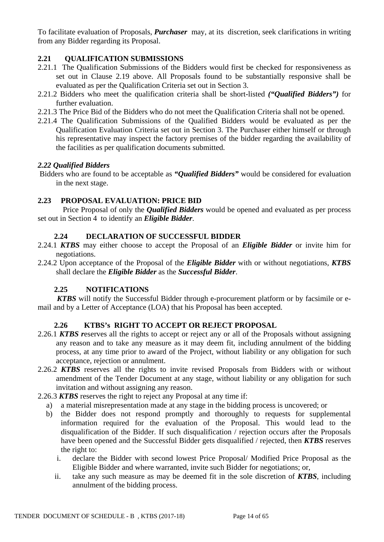To facilitate evaluation of Proposals, *Purchaser* may, at its discretion, seek clarifications in writing from any Bidder regarding its Proposal.

# **2.21 QUALIFICATION SUBMISSIONS**

- 2.21.1 The Qualification Submissions of the Bidders would first be checked for responsiveness as set out in Clause 2.19 above. All Proposals found to be substantially responsive shall be evaluated as per the Qualification Criteria set out in Section 3.
- 2.21.2 Bidders who meet the qualification criteria shall be short-listed *("Qualified Bidders")* for further evaluation.
- 2.21.3 The Price Bid of the Bidders who do not meet the Qualification Criteria shall not be opened.
- 2.21.4 The Qualification Submissions of the Qualified Bidders would be evaluated as per the Qualification Evaluation Criteria set out in Section 3. The Purchaser either himself or through his representative may inspect the factory premises of the bidder regarding the availability of the facilities as per qualification documents submitted.

## *2.22 Qualified Bidders*

Bidders who are found to be acceptable as *"Qualified Bidders"* would be considered for evaluation in the next stage.

# **2.23 PROPOSAL EVALUATION: PRICE BID**

 Price Proposal of only the *Qualified Bidders* would be opened and evaluated as per process set out in Section 4 to identify an *Eligible Bidder*.

## **2.24 DECLARATION OF SUCCESSFUL BIDDER**

- 2.24.1 *KTBS* may either choose to accept the Proposal of an *Eligible Bidder* or invite him for negotiations.
- 2.24.2 Upon acceptance of the Proposal of the *Eligible Bidder* with or without negotiations, *KTBS* shall declare the *Eligible Bidder* as the *Successful Bidder*.

## **2.25 NOTIFICATIONS**

 *KTBS* will notify the Successful Bidder through e-procurement platform or by facsimile or email and by a Letter of Acceptance (LOA) that his Proposal has been accepted.

# **2.26 KTBS's RIGHT TO ACCEPT OR REJECT PROPOSAL**

- 2.26.1 *KTBS r*eserves all the rights to accept or reject any or all of the Proposals without assigning any reason and to take any measure as it may deem fit, including annulment of the bidding process, at any time prior to award of the Project, without liability or any obligation for such acceptance, rejection or annulment.
- 2.26.2 *KTBS* reserves all the rights to invite revised Proposals from Bidders with or without amendment of the Tender Document at any stage, without liability or any obligation for such invitation and without assigning any reason.
- 2.26.3 *KTBS* reserves the right to reject any Proposal at any time if:
	- a) a material misrepresentation made at any stage in the bidding process is uncovered; or
	- b) the Bidder does not respond promptly and thoroughly to requests for supplemental information required for the evaluation of the Proposal. This would lead to the disqualification of the Bidder. If such disqualification / rejection occurs after the Proposals have been opened and the Successful Bidder gets disqualified / rejected, then *KTBS* reserves the right to:
		- i. declare the Bidder with second lowest Price Proposal/ Modified Price Proposal as the Eligible Bidder and where warranted, invite such Bidder for negotiations; or,
		- ii. take any such measure as may be deemed fit in the sole discretion of *KTBS*, including annulment of the bidding process.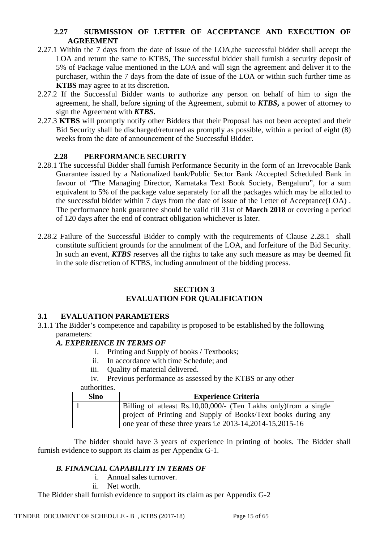## **2.27 SUBMISSION OF LETTER OF ACCEPTANCE AND EXECUTION OF AGREEMENT**

- 2.27.1 Within the 7 days from the date of issue of the LOA,the successful bidder shall accept the LOA and return the same to KTBS, The successful bidder shall furnish a security deposit of 5% of Package value mentioned in the LOA and will sign the agreement and deliver it to the purchaser, within the 7 days from the date of issue of the LOA or within such further time as **KTBS** may agree to at its discretion.
- 2.27.2 If the Successful Bidder wants to authorize any person on behalf of him to sign the agreement, he shall, before signing of the Agreement, submit to *KTBS***,** a power of attorney to sign the Agreement with *KTBS***.**
- 2.27.3 **KTBS** will promptly notify other Bidders that their Proposal has not been accepted and their Bid Security shall be discharged/returned as promptly as possible, within a period of eight (8) weeks from the date of announcement of the Successful Bidder.

# **2.28 PERFORMANCE SECURITY**

- 2.28.1 The successful Bidder shall furnish Performance Security in the form of an Irrevocable Bank Guarantee issued by a Nationalized bank/Public Sector Bank /Accepted Scheduled Bank in favour of "The Managing Director, Karnataka Text Book Society, Bengaluru", for a sum equivalent to 5% of the package value separately for all the packages which may be allotted to the successful bidder within 7 days from the date of issue of the Letter of Acceptance(LOA) . The performance bank guarantee should be valid till 31st of **March 2018** or covering a period of 120 days after the end of contract obligation whichever is later.
- 2.28.2 Failure of the Successful Bidder to comply with the requirements of Clause 2.28.1 shall constitute sufficient grounds for the annulment of the LOA, and forfeiture of the Bid Security. In such an event, *KTBS* reserves all the rights to take any such measure as may be deemed fit in the sole discretion of KTBS, including annulment of the bidding process.

#### **SECTION 3 EVALUATION FOR QUALIFICATION**

## **3.1 EVALUATION PARAMETERS**

3.1.1 The Bidder's competence and capability is proposed to be established by the following parameters:

# *A. EXPERIENCE IN TERMS OF*

- i. Printing and Supply of books / Textbooks;
- ii. In accordance with time Schedule; and
- iii. Quality of material delivered.
- iv. Previous performance as assessed by the KTBS or any other

authorities.

| <b>Slno</b> | <b>Experience Criteria</b> |                                                                   |  |
|-------------|----------------------------|-------------------------------------------------------------------|--|
|             |                            | Billing of at least Rs.10,00,000/- (Ten Lakhs only) from a single |  |
|             |                            | project of Printing and Supply of Books/Text books during any     |  |
|             |                            | one year of these three years i.e 2013-14, 2014-15, 2015-16       |  |

 The bidder should have 3 years of experience in printing of books. The Bidder shall furnish evidence to support its claim as per Appendix G-1.

# *B. FINANCIAL CAPABILITY IN TERMS OF*

- i. Annual sales turnover.
- ii. Net worth.

The Bidder shall furnish evidence to support its claim as per Appendix G-2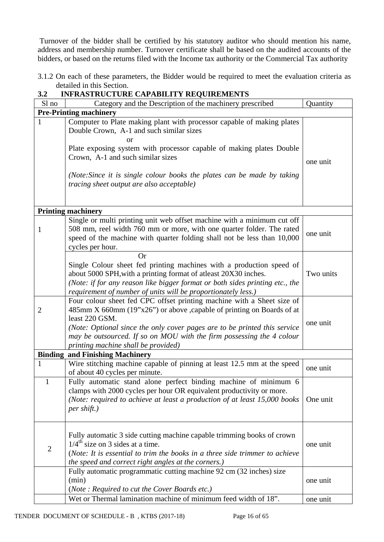Turnover of the bidder shall be certified by his statutory auditor who should mention his name, address and membership number. Turnover certificate shall be based on the audited accounts of the bidders, or based on the returns filed with the Income tax authority or the Commercial Tax authority

3.1.2 On each of these parameters, the Bidder would be required to meet the evaluation criteria as detailed in this Section.

| ◡๛                                     | INTRADING CHE CALADILITI NEQUINEMENTO                                                                                                                                                                                                                                                                                                                                |           |  |  |  |
|----------------------------------------|----------------------------------------------------------------------------------------------------------------------------------------------------------------------------------------------------------------------------------------------------------------------------------------------------------------------------------------------------------------------|-----------|--|--|--|
| Sl no                                  | Category and the Description of the machinery prescribed                                                                                                                                                                                                                                                                                                             | Quantity  |  |  |  |
|                                        | <b>Pre-Printing machinery</b>                                                                                                                                                                                                                                                                                                                                        |           |  |  |  |
| $\mathbf{1}$                           | Computer to Plate making plant with processor capable of making plates<br>Double Crown, A-1 and such similar sizes<br>or<br>Plate exposing system with processor capable of making plates Double<br>Crown, A-1 and such similar sizes<br>(Note: Since it is single colour books the plates can be made by taking<br><i>tracing sheet output are also acceptable)</i> | one unit  |  |  |  |
|                                        |                                                                                                                                                                                                                                                                                                                                                                      |           |  |  |  |
|                                        | <b>Printing machinery</b>                                                                                                                                                                                                                                                                                                                                            |           |  |  |  |
| 1                                      | Single or multi printing unit web offset machine with a minimum cut off<br>508 mm, reel width 760 mm or more, with one quarter folder. The rated<br>speed of the machine with quarter folding shall not be less than 10,000<br>cycles per hour.                                                                                                                      | one unit  |  |  |  |
|                                        | <b>Or</b><br>Single Colour sheet fed printing machines with a production speed of<br>about 5000 SPH, with a printing format of atleast 20X30 inches.<br>(Note: if for any reason like bigger format or both sides printing etc., the<br>requirement of number of units will be proportionately less.)                                                                | Two units |  |  |  |
| $\overline{2}$                         | Four colour sheet fed CPC offset printing machine with a Sheet size of<br>485mm X 660mm (19"x26") or above , capable of printing on Boards of at<br>least 220 GSM.<br>(Note: Optional since the only cover pages are to be printed this service<br>may be outsourced. If so on MOU with the firm possessing the 4 colour<br>printing machine shall be provided)      | one unit  |  |  |  |
| <b>Binding and Finishing Machinery</b> |                                                                                                                                                                                                                                                                                                                                                                      |           |  |  |  |
| 1                                      | Wire stitching machine capable of pinning at least 12.5 mm at the speed<br>of about 40 cycles per minute.                                                                                                                                                                                                                                                            | one unit  |  |  |  |
|                                        | Fully automatic stand alone perfect binding machine of minimum 6<br>clamps with 2000 cycles per hour OR equivalent productivity or more.<br>(Note: required to achieve at least a production of at least 15,000 books<br>per shift.)                                                                                                                                 | One unit  |  |  |  |
| $\overline{c}$                         | Fully automatic 3 side cutting machine capable trimming books of crown<br>$1/4^{\text{th}}$ size on 3 sides at a time.<br>(Note: It is essential to trim the books in a three side trimmer to achieve<br>the speed and correct right angles at the corners.)                                                                                                         | one unit  |  |  |  |
|                                        | Fully automatic programmatic cutting machine 92 cm (32 inches) size<br>(min)<br>(Note: Required to cut the Cover Boards etc.)                                                                                                                                                                                                                                        | one unit  |  |  |  |
|                                        | Wet or Thermal lamination machine of minimum feed width of 18".                                                                                                                                                                                                                                                                                                      | one unit  |  |  |  |

## **3.2 INFRASTRUCTURE CAPABILITY REQUIREMENTS**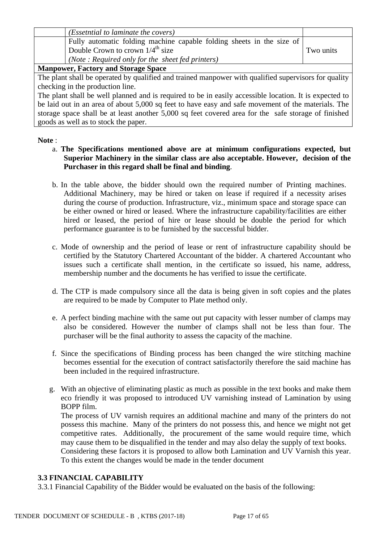| ( <i>Essetntial to laminate the covers</i> )                                                           |           |
|--------------------------------------------------------------------------------------------------------|-----------|
| Fully automatic folding machine capable folding sheets in the size of                                  |           |
| Double Crown to crown $1/4^{\text{th}}$ size                                                           | Two units |
| (Note: Required only for the sheet fed printers)                                                       |           |
| <b>Manpower, Factory and Storage Space</b>                                                             |           |
| The plant shall be operated by qualified and trained manpower with qualified supervisors for quality   |           |
| checking in the production line.                                                                       |           |
| The plant shall be well planned and is required to be in easily accessible location. It is expected to |           |
| be leid out in an age of chout 5,000 so feet to hove easy and sofe movement of the materials. The      |           |

be laid out in an area of about 5,000 sq feet to have easy and safe movement of the materials. The storage space shall be at least another 5,000 sq feet covered area for the safe storage of finished goods as well as to stock the paper.

## **Note** :

- a. **The Specifications mentioned above are at minimum configurations expected, but Superior Machinery in the similar class are also acceptable. However, decision of the Purchaser in this regard shall be final and binding**.
- b. In the table above, the bidder should own the required number of Printing machines. Additional Machinery, may be hired or taken on lease if required if a necessity arises during the course of production. Infrastructure, viz., minimum space and storage space can be either owned or hired or leased. Where the infrastructure capability/facilities are either hired or leased, the period of hire or lease should be double the period for which performance guarantee is to be furnished by the successful bidder.
- c. Mode of ownership and the period of lease or rent of infrastructure capability should be certified by the Statutory Chartered Accountant of the bidder. A chartered Accountant who issues such a certificate shall mention, in the certificate so issued, his name, address, membership number and the documents he has verified to issue the certificate.
- d. The CTP is made compulsory since all the data is being given in soft copies and the plates are required to be made by Computer to Plate method only.
- e. A perfect binding machine with the same out put capacity with lesser number of clamps may also be considered. However the number of clamps shall not be less than four. The purchaser will be the final authority to assess the capacity of the machine.
- f. Since the specifications of Binding process has been changed the wire stitching machine becomes essential for the execution of contract satisfactorily therefore the said machine has been included in the required infrastructure.
- g. With an objective of eliminating plastic as much as possible in the text books and make them eco friendly it was proposed to introduced UV varnishing instead of Lamination by using BOPP film.

The process of UV varnish requires an additional machine and many of the printers do not possess this machine. Many of the printers do not possess this, and hence we might not get competitive rates. Additionally, the procurement of the same would require time, which may cause them to be disqualified in the tender and may also delay the supply of text books.

Considering these factors it is proposed to allow both Lamination and UV Varnish this year. To this extent the changes would be made in the tender document

## **3.3 FINANCIAL CAPABILITY**

3.3.1 Financial Capability of the Bidder would be evaluated on the basis of the following: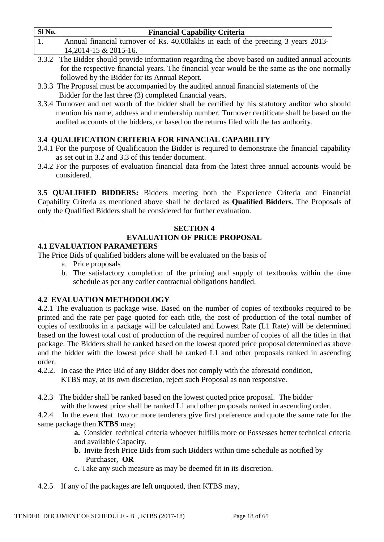| Sl No. | <b>Financial Capability Criteria</b>                                                                                                                                                                                                                                                                                                               |
|--------|----------------------------------------------------------------------------------------------------------------------------------------------------------------------------------------------------------------------------------------------------------------------------------------------------------------------------------------------------|
|        | Annual financial turnover of Rs. 40.00 lakhs in each of the preecing 3 years 2013-                                                                                                                                                                                                                                                                 |
|        | $14,2014-15 \& 2015-16.$                                                                                                                                                                                                                                                                                                                           |
|        | $222$ $\frac{1}{2}$ $\frac{1}{2}$ $\frac{1}{2}$ $\frac{1}{2}$ $\frac{1}{2}$ $\frac{1}{2}$ $\frac{1}{2}$ $\frac{1}{2}$ $\frac{1}{2}$ $\frac{1}{2}$ $\frac{1}{2}$ $\frac{1}{2}$ $\frac{1}{2}$ $\frac{1}{2}$ $\frac{1}{2}$ $\frac{1}{2}$ $\frac{1}{2}$ $\frac{1}{2}$ $\frac{1}{2}$ $\frac{1}{2}$ $\frac{1}{2}$ $\frac{1$<br>$\mathbf{1}$ $\mathbf{1}$ |

- 3.3.2 The Bidder should provide information regarding the above based on audited annual accounts for the respective financial years. The financial year would be the same as the one normally followed by the Bidder for its Annual Report.
- 3.3.3 The Proposal must be accompanied by the audited annual financial statements of the Bidder for the last three (3) completed financial years.
- 3.3.4 Turnover and net worth of the bidder shall be certified by his statutory auditor who should mention his name, address and membership number. Turnover certificate shall be based on the audited accounts of the bidders, or based on the returns filed with the tax authority.

# **3.4 QUALIFICATION CRITERIA FOR FINANCIAL CAPABILITY**

- 3.4.1 For the purpose of Qualification the Bidder is required to demonstrate the financial capability as set out in 3.2 and 3.3 of this tender document.
- 3.4.2 For the purposes of evaluation financial data from the latest three annual accounts would be considered.

**3.5 QUALIFIED BIDDERS:** Bidders meeting both the Experience Criteria and Financial Capability Criteria as mentioned above shall be declared as **Qualified Bidders**. The Proposals of only the Qualified Bidders shall be considered for further evaluation.

# **SECTION 4 EVALUATION OF PRICE PROPOSAL**

# **4.1 EVALUATION PARAMETERS**

The Price Bids of qualified bidders alone will be evaluated on the basis of

- a. Price proposals
- b. The satisfactory completion of the printing and supply of textbooks within the time schedule as per any earlier contractual obligations handled.

# **4.2 EVALUATION METHODOLOGY**

4.2.1 The evaluation is package wise. Based on the number of copies of textbooks required to be printed and the rate per page quoted for each title, the cost of production of the total number of copies of textbooks in a package will be calculated and Lowest Rate (L1 Rate) will be determined based on the lowest total cost of production of the required number of copies of all the titles in that package. The Bidders shall be ranked based on the lowest quoted price proposal determined as above and the bidder with the lowest price shall be ranked L1 and other proposals ranked in ascending order.

- 4.2.2. In case the Price Bid of any Bidder does not comply with the aforesaid condition, KTBS may, at its own discretion, reject such Proposal as non responsive.
- 4.2.3 The bidder shall be ranked based on the lowest quoted price proposal. The bidder with the lowest price shall be ranked L1 and other proposals ranked in ascending order.

4.2.4 In the event that two or more tenderers give first preference and quote the same rate for the same package then **KTBS** may;

> **a.** Consider technical criteria whoever fulfills more or Possesses better technical criteria and available Capacity.

- **b.** Invite fresh Price Bids from such Bidders within time schedule as notified by Purchaser, **OR**
- c. Take any such measure as may be deemed fit in its discretion.
- 4.2.5 If any of the packages are left unquoted, then KTBS may,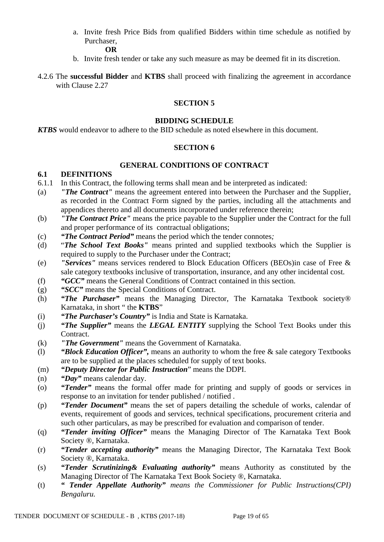a. Invite fresh Price Bids from qualified Bidders within time schedule as notified by Purchaser,

 **OR**

- b. Invite fresh tender or take any such measure as may be deemed fit in its discretion.
- 4.2.6 The **successful Bidder** and **KTBS** shall proceed with finalizing the agreement in accordance with Clause 2.27

## **SECTION 5**

#### **BIDDING SCHEDULE**

*KTBS* would endeavor to adhere to the BID schedule as noted elsewhere in this document.

#### **SECTION 6**

## **GENERAL CONDITIONS OF CONTRACT**

## **6.1 DEFINITIONS**

- 6.1.1 In this Contract, the following terms shall mean and be interpreted as indicated:
- (a) *"The Contract"* means the agreement entered into between the Purchaser and the Supplier, as recorded in the Contract Form signed by the parties, including all the attachments and appendices thereto and all documents incorporated under reference therein;
- (b) *"The Contract Price"* means the price payable to the Supplier under the Contract for the full and proper performance of its contractual obligations;
- (c) *"The Contract Period"* means the period which the tender connotes*;*
- (d) "*The School Text Books"* means printed and supplied textbooks which the Supplier is required to supply to the Purchaser under the Contract;
- (e) *"Services"* means services rendered to Block Education Officers (BEOs)in case of Free & sale category textbooks inclusive of transportation, insurance, and any other incidental cost.
- (f) *"GCC"* means the General Conditions of Contract contained in this section.
- (g) *"SCC"* means the Special Conditions of Contract.
- (h) *"The Purchaser"* means the Managing Director, The Karnataka Textbook society® Karnataka, in short " the **KTBS**"
- (i) *"The Purchaser's Country"* is India and State is Karnataka.
- (j) *"The Supplier"* means the *LEGAL ENTITY* supplying the School Text Books under this Contract.
- (k) *"The Government"* means the Government of Karnataka.
- (l) *"Block Education Officer",* means an authority to whom the free & sale category Textbooks are to be supplied at the places scheduled for supply of text books.
- (m) *"Deputy Director for Public Instruction*" means the DDPI.
- (n) *"Day"* means calendar day.
- (o) *"Tender"* means the formal offer made for printing and supply of goods or services in response to an invitation for tender published / notified .
- (p) *"Tender Document"* means the set of papers detailing the schedule of works, calendar of events, requirement of goods and services, technical specifications, procurement criteria and such other particulars, as may be prescribed for evaluation and comparison of tender.
- (q) *"Tender inviting Officer"* means the Managing Director of The Karnataka Text Book Society ®, Karnataka.
- (r) *"Tender accepting authority"* means the Managing Director, The Karnataka Text Book Society ®, Karnataka.
- (s) *"Tender Scrutinizing& Evaluating authority"* means Authority as constituted by the Managing Director of The Karnataka Text Book Society ®, Karnataka.
- (t) *" Tender Appellate Authority" means the Commissioner for Public Instructions(CPI) Bengaluru.*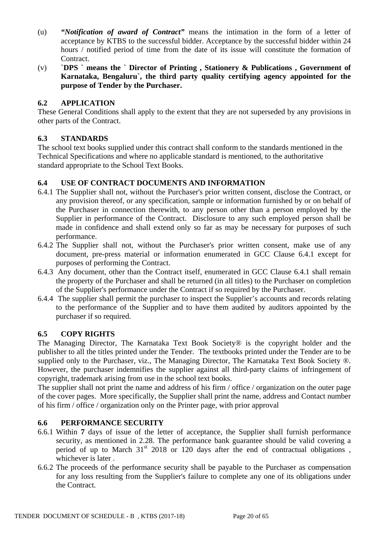- (u) *"Notification of award of Contract"* means the intimation in the form of a letter of acceptance by KTBS to the successful bidder. Acceptance by the successful bidder within 24 hours / notified period of time from the date of its issue will constitute the formation of Contract.
- (v) **`DPS ` means the ` Director of Printing , Stationery & Publications , Government of Karnataka, Bengaluru`, the third party quality certifying agency appointed for the purpose of Tender by the Purchaser.**

# **6.2 APPLICATION**

These General Conditions shall apply to the extent that they are not superseded by any provisions in other parts of the Contract.

# **6.3 STANDARDS**

The school text books supplied under this contract shall conform to the standards mentioned in the Technical Specifications and where no applicable standard is mentioned, to the authoritative standard appropriate to the School Text Books.

# **6.4 USE OF CONTRACT DOCUMENTS AND INFORMATION**

- 6.4.1 The Supplier shall not, without the Purchaser's prior written consent, disclose the Contract, or any provision thereof, or any specification, sample or information furnished by or on behalf of the Purchaser in connection therewith, to any person other than a person employed by the Supplier in performance of the Contract. Disclosure to any such employed person shall be made in confidence and shall extend only so far as may be necessary for purposes of such performance.
- 6.4.2 The Supplier shall not, without the Purchaser's prior written consent, make use of any document, pre-press material or information enumerated in GCC Clause 6.4.1 except for purposes of performing the Contract.
- 6.4.3 Any document, other than the Contract itself, enumerated in GCC Clause 6.4.1 shall remain the property of the Purchaser and shall be returned (in all titles) to the Purchaser on completion of the Supplier's performance under the Contract if so required by the Purchaser.
- 6.4.4 The supplier shall permit the purchaser to inspect the Supplier's accounts and records relating to the performance of the Supplier and to have them audited by auditors appointed by the purchaser if so required.

# **6.5 COPY RIGHTS**

The Managing Director, The Karnataka Text Book Society® is the copyright holder and the publisher to all the titles printed under the Tender. The textbooks printed under the Tender are to be supplied only to the Purchaser, viz., The Managing Director, The Karnataka Text Book Society ®. However, the purchaser indemnifies the supplier against all third-party claims of infringement of copyright, trademark arising from use in the school text books.

The supplier shall not print the name and address of his firm / office / organization on the outer page of the cover pages. More specifically, the Supplier shall print the name, address and Contact number of his firm / office / organization only on the Printer page, with prior approval

# **6.6 PERFORMANCE SECURITY**

- 6.6.1 Within **7** days of issue of the letter of acceptance, the Supplier shall furnish performance security, as mentioned in 2.28. The performance bank guarantee should be valid covering a period of up to March  $31<sup>st</sup>$  2018 or 120 days after the end of contractual obligations, whichever is later .
- 6.6.2 The proceeds of the performance security shall be payable to the Purchaser as compensation for any loss resulting from the Supplier's failure to complete any one of its obligations under the Contract.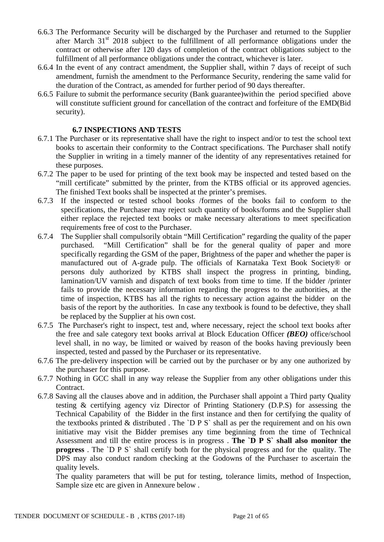- 6.6.3 The Performance Security will be discharged by the Purchaser and returned to the Supplier after March  $31<sup>st</sup>$  2018 subject to the fulfillment of all performance obligations under the contract or otherwise after 120 days of completion of the contract obligations subject to the fulfillment of all performance obligations under the contract, whichever is later.
- 6.6.4 In the event of any contract amendment, the Supplier shall, within 7 days of receipt of such amendment, furnish the amendment to the Performance Security, rendering the same valid for the duration of the Contract, as amended for further period of 90 days thereafter.
- 6.6.5 Failure to submit the performance security (Bank guarantee)within the period specified above will constitute sufficient ground for cancellation of the contract and forfeiture of the EMD(Bid security).

## **6.7 INSPECTIONS AND TESTS**

- 6.7.1 The Purchaser or its representative shall have the right to inspect and/or to test the school text books to ascertain their conformity to the Contract specifications. The Purchaser shall notify the Supplier in writing in a timely manner of the identity of any representatives retained for these purposes.
- 6.7.2 The paper to be used for printing of the text book may be inspected and tested based on the "mill certificate" submitted by the printer, from the KTBS official or its approved agencies. The finished Text books shall be inspected at the printer's premises.
- 6.7.3 If the inspected or tested school books /formes of the books fail to conform to the specifications, the Purchaser may reject such quantity of books/forms and the Supplier shall either replace the rejected text books or make necessary alterations to meet specification requirements free of cost to the Purchaser.
- 6.7.4 The Supplier shall compulsorily obtain "Mill Certification" regarding the quality of the paper purchased. "Mill Certification" shall be for the general quality of paper and more specifically regarding the GSM of the paper, Brightness of the paper and whether the paper is manufactured out of A-grade pulp. The officials of Karnataka Text Book Society® or persons duly authorized by KTBS shall inspect the progress in printing, binding, lamination/UV varnish and dispatch of text books from time to time. If the bidder /printer fails to provide the necessary information regarding the progress to the authorities, at the time of inspection, KTBS has all the rights to necessary action against the bidder on the basis of the report by the authorities. In case any textbook is found to be defective, they shall be replaced by the Supplier at his own cost.
- 6.7.5 The Purchaser's right to inspect, test and, where necessary, reject the school text books after the free and sale category text books arrival at Block Education Officer *(BEO)* office/school level shall, in no way, be limited or waived by reason of the books having previously been inspected, tested and passed by the Purchaser or its representative.
- 6.7.6 The pre-delivery inspection will be carried out by the purchaser or by any one authorized by the purchaser for this purpose.
- 6.7.7 Nothing in GCC shall in any way release the Supplier from any other obligations under this Contract.
- 6.7.8 Saving all the clauses above and in addition, the Purchaser shall appoint a Third party Quality testing & certifying agency viz Director of Printing Stationery (D.P.S) for assessing the Technical Capability of the Bidder in the first instance and then for certifying the quality of the textbooks printed  $&$  distributed . The `D P S` shall as per the requirement and on his own initiative may visit the Bidder premises any time beginning from the time of Technical Assessment and till the entire process is in progress . **The `D P S` shall also monitor the progress** . The `D P S` shall certify both for the physical progress and for the quality. The DPS may also conduct random checking at the Godowns of the Purchaser to ascertain the quality levels.

The quality parameters that will be put for testing, tolerance limits, method of Inspection, Sample size etc are given in Annexure below .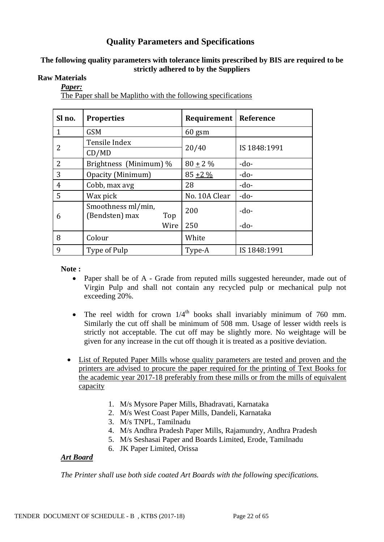# **Quality Parameters and Specifications**

## **The following quality parameters with tolerance limits prescribed by BIS are required to be strictly adhered to by the Suppliers**

## **Raw Materials**

#### *Paper:*

The Paper shall be Maplitho with the following specifications

| Sl no.         | <b>Properties</b>                           | Requirement   | Reference    |
|----------------|---------------------------------------------|---------------|--------------|
| $\mathbf{1}$   | <b>GSM</b>                                  | $60$ gsm      |              |
| 2              | Tensile Index                               | 20/40         | IS 1848:1991 |
|                | CD/MD                                       |               |              |
| $\overline{2}$ | Brightness (Minimum) %                      | $80 \pm 2 \%$ | $-do-$       |
| 3              | Opacity (Minimum)                           | $85 + 2\%$    | $-do-$       |
| 4              | Cobb, max avg                               | 28            | $-do-$       |
| 5              | Wax pick                                    | No. 10A Clear | $-do-$       |
| 6              | Smoothness ml/min,<br>(Bendsten) max<br>Top | 200           | $-do-$       |
|                | Wire                                        | 250           | $-do-$       |
| 8              | Colour                                      | White         |              |
| 9              | Type of Pulp                                | Type-A        | IS 1848:1991 |

**Note :**

- Paper shall be of A Grade from reputed mills suggested hereunder, made out of Virgin Pulp and shall not contain any recycled pulp or mechanical pulp not exceeding 20%.
- The reel width for crown  $1/4<sup>th</sup>$  books shall invariably minimum of 760 mm. Similarly the cut off shall be minimum of 508 mm. Usage of lesser width reels is strictly not acceptable. The cut off may be slightly more. No weightage will be given for any increase in the cut off though it is treated as a positive deviation.
- List of Reputed Paper Mills whose quality parameters are tested and proven and the printers are advised to procure the paper required for the printing of Text Books for the academic year 2017-18 preferably from these mills or from the mills of equivalent capacity
	- 1. M/s Mysore Paper Mills, Bhadravati, Karnataka
	- 2. M/s West Coast Paper Mills, Dandeli, Karnataka
	- 3. M/s TNPL, Tamilnadu
	- 4. M/s Andhra Pradesh Paper Mills, Rajamundry, Andhra Pradesh
	- 5. M/s Seshasai Paper and Boards Limited, Erode, Tamilnadu
	- 6. JK Paper Limited, Orissa

## *Art Board*

*The Printer shall use both side coated Art Boards with the following specifications.*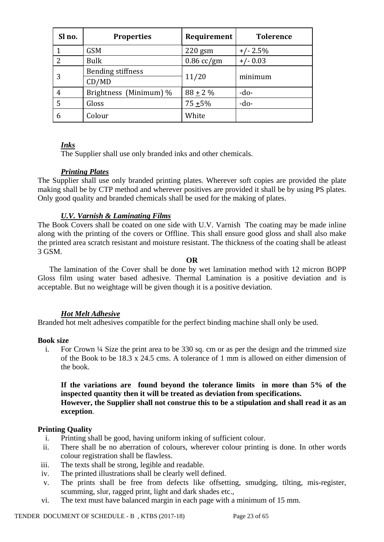| Sl no.        | <b>Properties</b>        | Requirement  | <b>Tolerence</b> |
|---------------|--------------------------|--------------|------------------|
|               | <b>GSM</b>               | $220$ gsm    | $+/- 2.5%$       |
| $\mathcal{P}$ | <b>Bulk</b>              | $0.86$ cc/gm | $+/- 0.03$       |
| 3             | <b>Bending stiffness</b> | 11/20        | minimum          |
|               | CD/MD                    |              |                  |
| 4             | Brightness (Minimum) %   | $88 + 2\%$   | $-do-$           |
|               | Gloss                    | $75 + 5\%$   | $-do-$           |
| 6             | Colour                   | White        |                  |

## *Inks*

The Supplier shall use only branded inks and other chemicals.

## *Printing Plates*

The Supplier shall use only branded printing plates. Wherever soft copies are provided the plate making shall be by CTP method and wherever positives are provided it shall be by using PS plates. Only good quality and branded chemicals shall be used for the making of plates.

## *U.V. Varnish & Laminating Films*

The Book Covers shall be coated on one side with U.V. Varnish The coating may be made inline along with the printing of the covers or Offline. This shall ensure good gloss and shall also make the printed area scratch resistant and moisture resistant. The thickness of the coating shall be atleast 3 GSM.

#### **OR**

 The lamination of the Cover shall be done by wet lamination method with 12 micron BOPP Gloss film using water based adhesive. Thermal Lamination is a positive deviation and is acceptable. But no weightage will be given though it is a positive deviation.

# *Hot Melt Adhesive*

Branded hot melt adhesives compatible for the perfect binding machine shall only be used.

#### **Book size**

i. For Crown ¼ Size the print area to be 330 sq. cm or as per the design and the trimmed size of the Book to be 18.3 x 24.5 cms. A tolerance of 1 mm is allowed on either dimension of the book.

# **If the variations are found beyond the tolerance limits in more than 5% of the inspected quantity then it will be treated as deviation from specifications.**

## **However, the Supplier shall not construe this to be a stipulation and shall read it as an exception**.

## **Printing Quality**

- i. Printing shall be good, having uniform inking of sufficient colour.
- ii. There shall be no aberration of colours, wherever colour printing is done. In other words colour registration shall be flawless.
- iii. The texts shall be strong, legible and readable.
- iv. The printed illustrations shall be clearly well defined.
- v. The prints shall be free from defects like offsetting, smudging, tilting, mis-register, scumming, slur, ragged print, light and dark shades etc.,
- vi. The text must have balanced margin in each page with a minimum of 15 mm.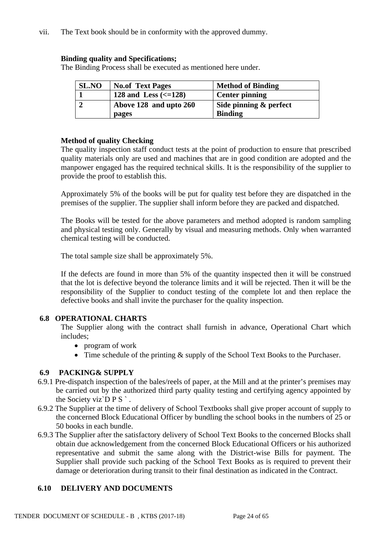vii. The Text book should be in conformity with the approved dummy.

## **Binding quality and Specifications;**

The Binding Process shall be executed as mentioned here under.

| <b>SL.NO</b> | <b>No.of Text Pages</b>           | <b>Method of Binding</b> |
|--------------|-----------------------------------|--------------------------|
|              | 128 and Less $\left(<=128\right)$ | <b>Center pinning</b>    |
|              | Above 128 and upto 260            | Side pinning & perfect   |
|              | pages                             | <b>Binding</b>           |

## **Method of quality Checking**

The quality inspection staff conduct tests at the point of production to ensure that prescribed quality materials only are used and machines that are in good condition are adopted and the manpower engaged has the required technical skills. It is the responsibility of the supplier to provide the proof to establish this.

Approximately 5% of the books will be put for quality test before they are dispatched in the premises of the supplier. The supplier shall inform before they are packed and dispatched.

The Books will be tested for the above parameters and method adopted is random sampling and physical testing only. Generally by visual and measuring methods. Only when warranted chemical testing will be conducted.

The total sample size shall be approximately 5%.

If the defects are found in more than 5% of the quantity inspected then it will be construed that the lot is defective beyond the tolerance limits and it will be rejected. Then it will be the responsibility of the Supplier to conduct testing of the complete lot and then replace the defective books and shall invite the purchaser for the quality inspection.

# **6.8 OPERATIONAL CHARTS**

The Supplier along with the contract shall furnish in advance, Operational Chart which includes;

- program of work
- Time schedule of the printing  $&$  supply of the School Text Books to the Purchaser.

# **6.9 PACKING& SUPPLY**

- 6.9.1 Pre-dispatch inspection of the bales/reels of paper, at the Mill and at the printer's premises may be carried out by the authorized third party quality testing and certifying agency appointed by the Society viz`D  $P S$ .
- 6.9.2 The Supplier at the time of delivery of School Textbooks shall give proper account of supply to the concerned Block Educational Officer by bundling the school books in the numbers of 25 or 50 books in each bundle.
- 6.9.3 The Supplier after the satisfactory delivery of School Text Books to the concerned Blocks shall obtain due acknowledgement from the concerned Block Educational Officers or his authorized representative and submit the same along with the District-wise Bills for payment. The Supplier shall provide such packing of the School Text Books as is required to prevent their damage or deterioration during transit to their final destination as indicated in the Contract.

# **6.10 DELIVERY AND DOCUMENTS**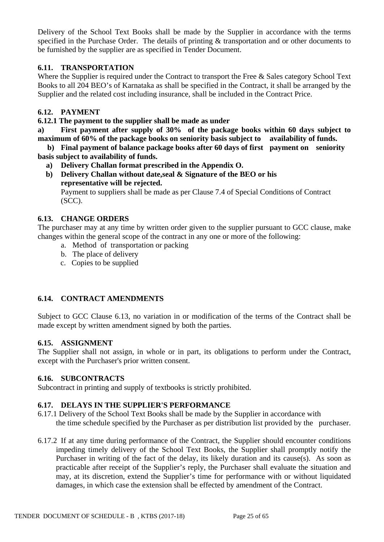Delivery of the School Text Books shall be made by the Supplier in accordance with the terms specified in the Purchase Order. The details of printing & transportation and or other documents to be furnished by the supplier are as specified in Tender Document.

# **6.11. TRANSPORTATION**

Where the Supplier is required under the Contract to transport the Free & Sales category School Text Books to all 204 BEO's of Karnataka as shall be specified in the Contract, it shall be arranged by the Supplier and the related cost including insurance, shall be included in the Contract Price.

# **6.12. PAYMENT**

**6.12.1 The payment to the supplier shall be made as under** 

**a) First payment after supply of 30% of the package books within 60 days subject to maximum of 60% of the package books on seniority basis subject to availability of funds.**

 **b) Final payment of balance package books after 60 days of first payment on seniority basis subject to availability of funds.**

- **a) Delivery Challan format prescribed in the Appendix O.**
- **b) Delivery Challan without date,seal & Signature of the BEO or his representative will be rejected.**

Payment to suppliers shall be made as per Clause 7.4 of Special Conditions of Contract (SCC).

## **6.13. CHANGE ORDERS**

The purchaser may at any time by written order given to the supplier pursuant to GCC clause, make changes within the general scope of the contract in any one or more of the following:

- a. Method of transportation or packing
- b. The place of delivery
- c. Copies to be supplied

# **6.14. CONTRACT AMENDMENTS**

Subject to GCC Clause 6.13, no variation in or modification of the terms of the Contract shall be made except by written amendment signed by both the parties.

## **6.15. ASSIGNMENT**

The Supplier shall not assign, in whole or in part, its obligations to perform under the Contract, except with the Purchaser's prior written consent.

## **6.16. SUBCONTRACTS**

Subcontract in printing and supply of textbooks is strictly prohibited.

# **6.17. DELAYS IN THE SUPPLIER'S PERFORMANCE**

- 6.17.1 Delivery of the School Text Books shall be made by the Supplier in accordance with the time schedule specified by the Purchaser as per distribution list provided by the purchaser.
- 6.17.2 If at any time during performance of the Contract, the Supplier should encounter conditions impeding timely delivery of the School Text Books, the Supplier shall promptly notify the Purchaser in writing of the fact of the delay, its likely duration and its cause(s). As soon as practicable after receipt of the Supplier's reply, the Purchaser shall evaluate the situation and may, at its discretion, extend the Supplier's time for performance with or without liquidated damages, in which case the extension shall be effected by amendment of the Contract.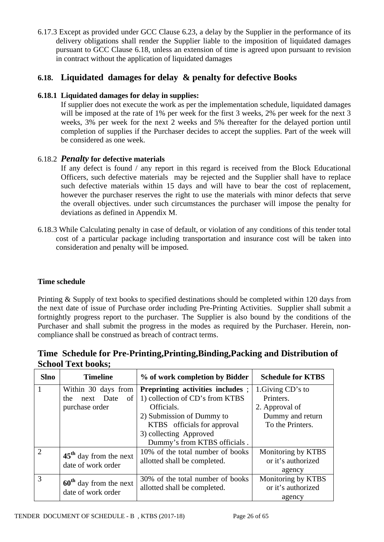6.17.3 Except as provided under GCC Clause 6.23, a delay by the Supplier in the performance of its delivery obligations shall render the Supplier liable to the imposition of liquidated damages pursuant to GCC Clause 6.18, unless an extension of time is agreed upon pursuant to revision in contract without the application of liquidated damages

# **6.18. Liquidated damages for delay & penalty for defective Books**

# **6.18.1 Liquidated damages for delay in supplies:**

If supplier does not execute the work as per the implementation schedule, liquidated damages will be imposed at the rate of 1% per week for the first 3 weeks, 2% per week for the next 3 weeks, 3% per week for the next 2 weeks and 5% thereafter for the delayed portion until completion of supplies if the Purchaser decides to accept the supplies. Part of the week will be considered as one week.

## 6.18.2 *Penalty* **for defective materials**

If any defect is found / any report in this regard is received from the Block Educational Officers, such defective materials may be rejected and the Supplier shall have to replace such defective materials within 15 days and will have to bear the cost of replacement, however the purchaser reserves the right to use the materials with minor defects that serve the overall objectives. under such circumstances the purchaser will impose the penalty for deviations as defined in Appendix M.

6.18.3 While Calculating penalty in case of default, or violation of any conditions of this tender total cost of a particular package including transportation and insurance cost will be taken into consideration and penalty will be imposed.

## **Time schedule**

Printing & Supply of text books to specified destinations should be completed within 120 days from the next date of issue of Purchase order including Pre-Printing Activities. Supplier shall submit a fortnightly progress report to the purchaser. The Supplier is also bound by the conditions of the Purchaser and shall submit the progress in the modes as required by the Purchaser. Herein, noncompliance shall be construed as breach of contract terms.

|                           | Time Schedule for Pre-Printing, Printing, Binding, Packing and Distribution of |  |
|---------------------------|--------------------------------------------------------------------------------|--|
| <b>School Text books;</b> |                                                                                |  |

| <b>Slno</b>    | <b>Timeline</b>                                | % of work completion by Bidder                                      | <b>Schedule for KTBS</b>                           |
|----------------|------------------------------------------------|---------------------------------------------------------------------|----------------------------------------------------|
|                | Within 30 days from<br>next Date<br>οf<br>the  | Preprinting activities includes;<br>1) collection of CD's from KTBS | 1. Giving CD's to<br>Printers.                     |
|                | purchase order                                 | Officials.                                                          | 2. Approval of                                     |
|                |                                                | 2) Submission of Dummy to<br>KTBS officials for approval            | Dummy and return<br>To the Printers.               |
|                |                                                | 3) collecting Approved<br>Dummy's from KTBS officials.              |                                                    |
| $\overline{2}$ | $45th$ day from the next<br>date of work order | 10% of the total number of books<br>allotted shall be completed.    | Monitoring by KTBS<br>or it's authorized<br>agency |
| 3              | $60th$ day from the next<br>date of work order | 30% of the total number of books<br>allotted shall be completed.    | Monitoring by KTBS<br>or it's authorized<br>agency |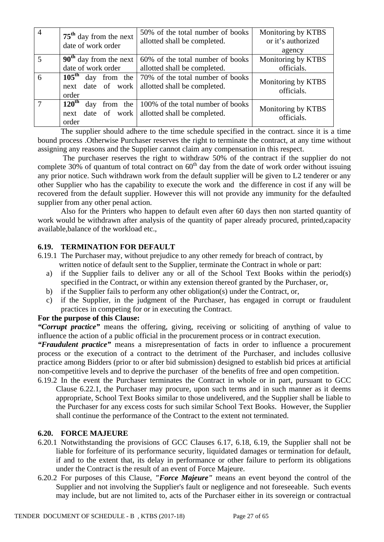| $\overline{4}$ | $75th$ day from the next<br>date of work order | 50% of the total number of books<br>allotted shall be completed.                                  | Monitoring by KTBS<br>or it's authorized<br>agency |
|----------------|------------------------------------------------|---------------------------------------------------------------------------------------------------|----------------------------------------------------|
| 5              | $90th$ day from the next                       | 60% of the total number of books                                                                  | Monitoring by KTBS                                 |
|                | date of work order                             | allotted shall be completed.                                                                      | officials.                                         |
| 6              | next date of work                              | 105 <sup>th</sup> day from the $\frac{70\%}{6}$ of the total number of books                      | Monitoring by KTBS                                 |
|                | order                                          | allotted shall be completed.                                                                      | officials.                                         |
| $\overline{7}$ | $120^{\text{th}}$<br>day<br>next<br>order      | from the $\vert$ 100% of the total number of books<br>date of work   allotted shall be completed. | Monitoring by KTBS<br>officials.                   |

The supplier should adhere to the time schedule specified in the contract. since it is a time bound process .Otherwise Purchaser reserves the right to terminate the contract, at any time without assigning any reasons and the Supplier cannot claim any compensation in this respect.

 The purchaser reserves the right to withdraw 50% of the contract if the supplier do not complete 30% of quantum of total contract on  $60<sup>th</sup>$  day from the date of work order without issuing any prior notice. Such withdrawn work from the default supplier will be given to L2 tenderer or any other Supplier who has the capability to execute the work and the difference in cost if any will be recovered from the default supplier. However this will not provide any immunity for the defaulted supplier from any other penal action.

Also for the Printers who happen to default even after 60 days then non started quantity of work would be withdrawn after analysis of the quantity of paper already procured, printed,capacity available,balance of the workload etc.,

## **6.19. TERMINATION FOR DEFAULT**

- 6.19.1 The Purchaser may, without prejudice to any other remedy for breach of contract, by written notice of default sent to the Supplier, terminate the Contract in whole or part:
	- a) if the Supplier fails to deliver any or all of the School Text Books within the period(s) specified in the Contract, or within any extension thereof granted by the Purchaser, or,
	- b) if the Supplier fails to perform any other obligation(s) under the Contract, or,
	- c) if the Supplier, in the judgment of the Purchaser, has engaged in corrupt or fraudulent practices in competing for or in executing the Contract.

## **For the purpose of this Clause:**

*"Corrupt practice"* means the offering, giving, receiving or soliciting of anything of value to influence the action of a public official in the procurement process or in contract execution.

*"Fraudulent practice"* means a misrepresentation of facts in order to influence a procurement process or the execution of a contract to the detriment of the Purchaser, and includes collusive practice among Bidders (prior to or after bid submission) designed to establish bid prices at artificial non-competitive levels and to deprive the purchaser of the benefits of free and open competition.

6.19.2 In the event the Purchaser terminates the Contract in whole or in part, pursuant to GCC Clause 6.22.1, the Purchaser may procure, upon such terms and in such manner as it deems appropriate, School Text Books similar to those undelivered, and the Supplier shall be liable to the Purchaser for any excess costs for such similar School Text Books. However, the Supplier shall continue the performance of the Contract to the extent not terminated.

# **6.20. FORCE MAJEURE**

- 6.20.1 Notwithstanding the provisions of GCC Clauses 6.17, 6.18, 6.19, the Supplier shall not be liable for forfeiture of its performance security, liquidated damages or termination for default, if and to the extent that, its delay in performance or other failure to perform its obligations under the Contract is the result of an event of Force Majeure.
- 6.20.2 For purposes of this Clause, *"Force Majeure"* means an event beyond the control of the Supplier and not involving the Supplier's fault or negligence and not foreseeable. Such events may include, but are not limited to, acts of the Purchaser either in its sovereign or contractual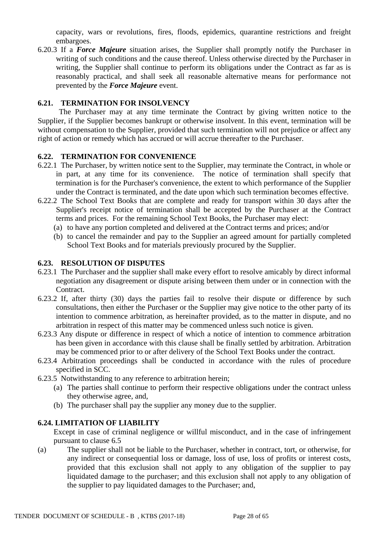capacity, wars or revolutions, fires, floods, epidemics, quarantine restrictions and freight embargoes.

6.20.3 If a *Force Majeure* situation arises, the Supplier shall promptly notify the Purchaser in writing of such conditions and the cause thereof. Unless otherwise directed by the Purchaser in writing, the Supplier shall continue to perform its obligations under the Contract as far as is reasonably practical, and shall seek all reasonable alternative means for performance not prevented by the *Force Majeure* event.

## **6.21. TERMINATION FOR INSOLVENCY**

 The Purchaser may at any time terminate the Contract by giving written notice to the Supplier, if the Supplier becomes bankrupt or otherwise insolvent. In this event, termination will be without compensation to the Supplier, provided that such termination will not prejudice or affect any right of action or remedy which has accrued or will accrue thereafter to the Purchaser.

## **6.22. TERMINATION FOR CONVENIENCE**

- 6.22.1 The Purchaser, by written notice sent to the Supplier, may terminate the Contract, in whole or in part, at any time for its convenience. The notice of termination shall specify that termination is for the Purchaser's convenience, the extent to which performance of the Supplier under the Contract is terminated, and the date upon which such termination becomes effective.
- 6.22.2 The School Text Books that are complete and ready for transport within 30 days after the Supplier's receipt notice of termination shall be accepted by the Purchaser at the Contract terms and prices. For the remaining School Text Books, the Purchaser may elect:
	- (a) to have any portion completed and delivered at the Contract terms and prices; and/or
	- (b) to cancel the remainder and pay to the Supplier an agreed amount for partially completed School Text Books and for materials previously procured by the Supplier.

## **6.23. RESOLUTION OF DISPUTES**

- 6.23.1 The Purchaser and the supplier shall make every effort to resolve amicably by direct informal negotiation any disagreement or dispute arising between them under or in connection with the Contract.
- 6.23.2 If, after thirty (30) days the parties fail to resolve their dispute or difference by such consultations, then either the Purchaser or the Supplier may give notice to the other party of its intention to commence arbitration, as hereinafter provided, as to the matter in dispute, and no arbitration in respect of this matter may be commenced unless such notice is given.
- 6.23.3 Any dispute or difference in respect of which a notice of intention to commence arbitration has been given in accordance with this clause shall be finally settled by arbitration. Arbitration may be commenced prior to or after delivery of the School Text Books under the contract.
- 6.23.4 Arbitration proceedings shall be conducted in accordance with the rules of procedure specified in SCC.
- 6.23.5 Notwithstanding to any reference to arbitration herein;
	- (a) The parties shall continue to perform their respective obligations under the contract unless they otherwise agree, and,
	- (b) The purchaser shall pay the supplier any money due to the supplier.

## **6.24. LIMITATION OF LIABILITY**

Except in case of criminal negligence or willful misconduct, and in the case of infringement pursuant to clause 6.5

(a) The supplier shall not be liable to the Purchaser, whether in contract, tort, or otherwise, for any indirect or consequential loss or damage, loss of use, loss of profits or interest costs, provided that this exclusion shall not apply to any obligation of the supplier to pay liquidated damage to the purchaser; and this exclusion shall not apply to any obligation of the supplier to pay liquidated damages to the Purchaser; and,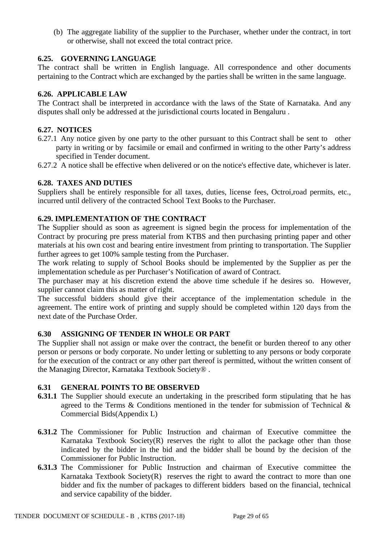(b) The aggregate liability of the supplier to the Purchaser, whether under the contract, in tort or otherwise, shall not exceed the total contract price.

## **6.25. GOVERNING LANGUAGE**

The contract shall be written in English language. All correspondence and other documents pertaining to the Contract which are exchanged by the parties shall be written in the same language.

## **6.26. APPLICABLE LAW**

The Contract shall be interpreted in accordance with the laws of the State of Karnataka. And any disputes shall only be addressed at the jurisdictional courts located in Bengaluru .

## **6.27. NOTICES**

- 6.27.1 Any notice given by one party to the other pursuant to this Contract shall be sent to other party in writing or by facsimile or email and confirmed in writing to the other Party's address specified in Tender document.
- 6.27.2 A notice shall be effective when delivered or on the notice's effective date, whichever is later.

#### **6.28. TAXES AND DUTIES**

Suppliers shall be entirely responsible for all taxes, duties, license fees, Octroi,road permits, etc., incurred until delivery of the contracted School Text Books to the Purchaser.

## **6.29. IMPLEMENTATION OF THE CONTRACT**

The Supplier should as soon as agreement is signed begin the process for implementation of the Contract by procuring pre press material from KTBS and then purchasing printing paper and other materials at his own cost and bearing entire investment from printing to transportation. The Supplier further agrees to get 100% sample testing from the Purchaser.

The work relating to supply of School Books should be implemented by the Supplier as per the implementation schedule as per Purchaser's Notification of award of Contract.

The purchaser may at his discretion extend the above time schedule if he desires so. However, supplier cannot claim this as matter of right.

The successful bidders should give their acceptance of the implementation schedule in the agreement. The entire work of printing and supply should be completed within 120 days from the next date of the Purchase Order.

## **6.30 ASSIGNING OF TENDER IN WHOLE OR PART**

The Supplier shall not assign or make over the contract, the benefit or burden thereof to any other person or persons or body corporate. No under letting or subletting to any persons or body corporate for the execution of the contract or any other part thereof is permitted, without the written consent of the Managing Director, Karnataka Textbook Society® .

## **6.31 GENERAL POINTS TO BE OBSERVED**

- **6.31.1** The Supplier should execute an undertaking in the prescribed form stipulating that he has agreed to the Terms & Conditions mentioned in the tender for submission of Technical & Commercial Bids(Appendix L)
- **6.31.2** The Commissioner for Public Instruction and chairman of Executive committee the Karnataka Textbook Society(R) reserves the right to allot the package other than those indicated by the bidder in the bid and the bidder shall be bound by the decision of the Commissioner for Public Instruction.
- **6.31.3** The Commissioner for Public Instruction and chairman of Executive committee the Karnataka Textbook Society $(R)$  reserves the right to award the contract to more than one bidder and fix the number of packages to different bidders based on the financial, technical and service capability of the bidder.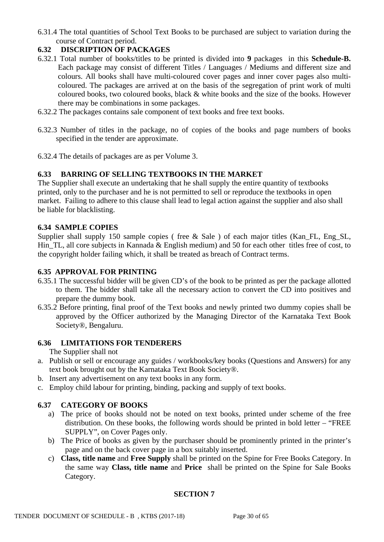6.31.4 The total quantities of School Text Books to be purchased are subject to variation during the course of Contract period.

# **6.32 DISCRIPTION OF PACKAGES**

- 6.32.1 Total number of books/titles to be printed is divided into **9** packages in this **Schedule-B.** Each package may consist of different Titles / Languages / Mediums and different size and colours. All books shall have multi-coloured cover pages and inner cover pages also multicoloured. The packages are arrived at on the basis of the segregation of print work of multi coloured books, two coloured books, black & white books and the size of the books. However there may be combinations in some packages.
- 6.32.2 The packages contains sale component of text books and free text books.
- 6.32.3 Number of titles in the package, no of copies of the books and page numbers of books specified in the tender are approximate.
- 6.32.4 The details of packages are as per Volume 3.

## **6.33 BARRING OF SELLING TEXTBOOKS IN THE MARKET**

The Supplier shall execute an undertaking that he shall supply the entire quantity of textbooks printed, only to the purchaser and he is not permitted to sell or reproduce the textbooks in open market. Failing to adhere to this clause shall lead to legal action against the supplier and also shall be liable for blacklisting.

## **6.34 SAMPLE COPIES**

Supplier shall supply 150 sample copies ( free  $\&$  Sale ) of each major titles (Kan FL, Eng SL, Hin TL, all core subjects in Kannada & English medium) and 50 for each other titles free of cost, to the copyright holder failing which, it shall be treated as breach of Contract terms.

## **6.35 APPROVAL FOR PRINTING**

- 6.35.1 The successful bidder will be given CD's of the book to be printed as per the package allotted to them. The bidder shall take all the necessary action to convert the CD into positives and prepare the dummy book.
- 6.35.2 Before printing, final proof of the Text books and newly printed two dummy copies shall be approved by the Officer authorized by the Managing Director of the Karnataka Text Book Society®, Bengaluru.

# **6.36 LIMITATIONS FOR TENDERERS**

The Supplier shall not

- a. Publish or sell or encourage any guides / workbooks/key books (Questions and Answers) for any text book brought out by the Karnataka Text Book Society®.
- b. Insert any advertisement on any text books in any form.
- c. Employ child labour for printing, binding, packing and supply of text books.

# **6.37 CATEGORY OF BOOKS**

- a) The price of books should not be noted on text books, printed under scheme of the free distribution. On these books, the following words should be printed in bold letter – "FREE SUPPLY", on Cover Pages only.
- b) The Price of books as given by the purchaser should be prominently printed in the printer's page and on the back cover page in a box suitably inserted.
- c) **Class, title name** and **Free Supply** shall be printed on the Spine for Free Books Category. In the same way **Class, title name** and **Price** shall be printed on the Spine for Sale Books Category.

## **SECTION 7**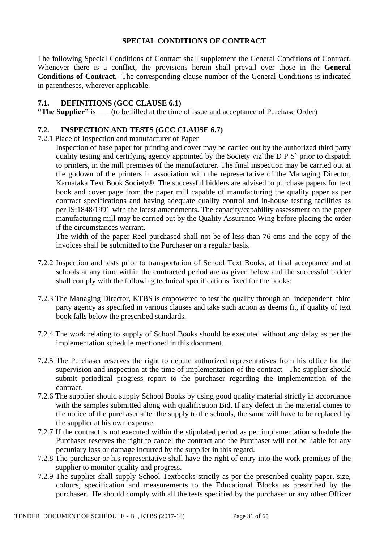## **SPECIAL CONDITIONS OF CONTRACT**

The following Special Conditions of Contract shall supplement the General Conditions of Contract. Whenever there is a conflict, the provisions herein shall prevail over those in the **General Conditions of Contract.** The corresponding clause number of the General Conditions is indicated in parentheses, wherever applicable.

## **7.1. DEFINITIONS (GCC CLAUSE 6.1)**

**"The Supplier"** is \_\_\_ (to be filled at the time of issue and acceptance of Purchase Order)

## **7.2. INSPECTION AND TESTS (GCC CLAUSE 6.7)**

7.2.1 Place of Inspection and manufacturer of Paper

Inspection of base paper for printing and cover may be carried out by the authorized third party quality testing and certifying agency appointed by the Society viz`the D P S` prior to dispatch to printers, in the mill premises of the manufacturer. The final inspection may be carried out at the godown of the printers in association with the representative of the Managing Director, Karnataka Text Book Society®. The successful bidders are advised to purchase papers for text book and cover page from the paper mill capable of manufacturing the quality paper as per contract specifications and having adequate quality control and in-house testing facilities as per IS:1848/1991 with the latest amendments. The capacity/capability assessment on the paper manufacturing mill may be carried out by the Quality Assurance Wing before placing the order if the circumstances warrant.

The width of the paper Reel purchased shall not be of less than 76 cms and the copy of the invoices shall be submitted to the Purchaser on a regular basis.

- 7.2.2 Inspection and tests prior to transportation of School Text Books, at final acceptance and at schools at any time within the contracted period are as given below and the successful bidder shall comply with the following technical specifications fixed for the books:
- 7.2.3 The Managing Director, KTBS is empowered to test the quality through an independent third party agency as specified in various clauses and take such action as deems fit, if quality of text book falls below the prescribed standards.
- 7.2.4 The work relating to supply of School Books should be executed without any delay as per the implementation schedule mentioned in this document.
- 7.2.5 The Purchaser reserves the right to depute authorized representatives from his office for the supervision and inspection at the time of implementation of the contract. The supplier should submit periodical progress report to the purchaser regarding the implementation of the contract.
- 7.2.6 The supplier should supply School Books by using good quality material strictly in accordance with the samples submitted along with qualification Bid. If any defect in the material comes to the notice of the purchaser after the supply to the schools, the same will have to be replaced by the supplier at his own expense.
- 7.2.7 If the contract is not executed within the stipulated period as per implementation schedule the Purchaser reserves the right to cancel the contract and the Purchaser will not be liable for any pecuniary loss or damage incurred by the supplier in this regard.
- 7.2.8 The purchaser or his representative shall have the right of entry into the work premises of the supplier to monitor quality and progress.
- 7.2.9 The supplier shall supply School Textbooks strictly as per the prescribed quality paper, size, colours, specification and measurements to the Educational Blocks as prescribed by the purchaser. He should comply with all the tests specified by the purchaser or any other Officer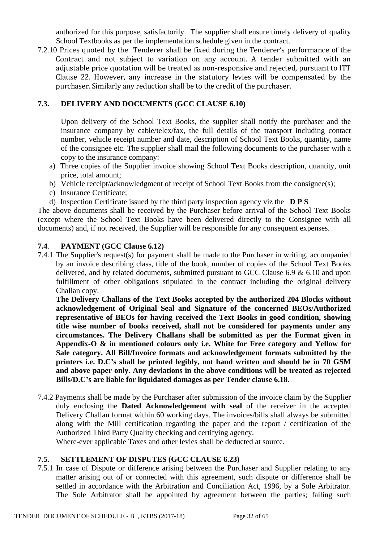authorized for this purpose, satisfactorily. The supplier shall ensure timely delivery of quality School Textbooks as per the implementation schedule given in the contract.

7.2.10 Prices quoted by the Tenderer shall be fixed during the Tenderer's performance of the Contract and not subject to variation on any account. A tender submitted with an adjustable price quotation will be treated as non-responsive and rejected, pursuant to ITT Clause 22. However, any increase in the statutory levies will be compensated by the purchaser. Similarly any reduction shall be to the credit of the purchaser.

## **7.3. DELIVERY AND DOCUMENTS (GCC CLAUSE 6.10)**

Upon delivery of the School Text Books, the supplier shall notify the purchaser and the insurance company by cable/telex/fax, the full details of the transport including contact number, vehicle receipt number and date, description of School Text Books, quantity, name of the consignee etc. The supplier shall mail the following documents to the purchaser with a copy to the insurance company:

- a) Three copies of the Supplier invoice showing School Text Books description, quantity, unit price, total amount;
- b) Vehicle receipt/acknowledgment of receipt of School Text Books from the consignee(s);
- c) Insurance Certificate;
- d) Inspection Certificate issued by the third party inspection agency viz the **D P S**

The above documents shall be received by the Purchaser before arrival of the School Text Books (except where the School Text Books have been delivered directly to the Consignee with all documents) and, if not received, the Supplier will be responsible for any consequent expenses.

## **7.4**. **PAYMENT (GCC Clause 6.12)**

7.4.1 The Supplier's request(s) for payment shall be made to the Purchaser in writing, accompanied by an invoice describing class, title of the book, number of copies of the School Text Books delivered, and by related documents, submitted pursuant to GCC Clause 6.9 & 6.10 and upon fulfillment of other obligations stipulated in the contract including the original delivery Challan copy.

**The Delivery Challans of the Text Books accepted by the authorized 204 Blocks without acknowledgement of Original Seal and Signature of the concerned BEOs/Authorized representative of BEOs for having received the Text Books in good condition, showing title wise number of books received, shall not be considered for payments under any circumstances. The Delivery Challans shall be submitted as per the Format given in Appendix-O & in mentioned colours only i.e. White for Free category and Yellow for Sale category. All Bill/Invoice formats and acknowledgement formats submitted by the printers i.e. D.C's shall be printed legibly, not hand written and should be in 70 GSM and above paper only. Any deviations in the above conditions will be treated as rejected Bills/D.C's are liable for liquidated damages as per Tender clause 6.18.** 

7.4.2 Payments shall be made by the Purchaser after submission of the invoice claim by the Supplier duly enclosing the **Dated Acknowledgement with seal** of the receiver in the accepted Delivery Challan format within 60 working days. The invoices/bills shall always be submitted along with the Mill certification regarding the paper and the report / certification of the Authorized Third Party Quality checking and certifying agency.

Where-ever applicable Taxes and other levies shall be deducted at source.

## **7.5. SETTLEMENT OF DISPUTES (GCC CLAUSE 6.23)**

7.5.1 In case of Dispute or difference arising between the Purchaser and Supplier relating to any matter arising out of or connected with this agreement, such dispute or difference shall be settled in accordance with the Arbitration and Conciliation Act, 1996, by a Sole Arbitrator. The Sole Arbitrator shall be appointed by agreement between the parties; failing such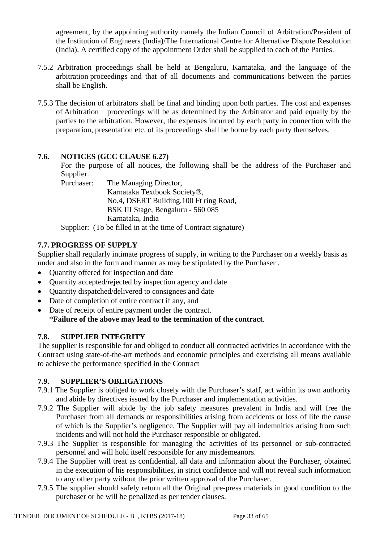agreement, by the appointing authority namely the Indian Council of Arbitration/President of the Institution of Engineers (India)/The International Centre for Alternative Dispute Resolution (India). A certified copy of the appointment Order shall be supplied to each of the Parties.

- 7.5.2 Arbitration proceedings shall be held at Bengaluru, Karnataka, and the language of the arbitration proceedings and that of all documents and communications between the parties shall be English.
- 7.5.3 The decision of arbitrators shall be final and binding upon both parties. The cost and expenses of Arbitration proceedings will be as determined by the Arbitrator and paid equally by the parties to the arbitration. However, the expenses incurred by each party in connection with the preparation, presentation etc. of its proceedings shall be borne by each party themselves.

# **7.6. NOTICES (GCC CLAUSE 6.27)**

For the purpose of all notices, the following shall be the address of the Purchaser and Supplier.

Purchaser: The Managing Director, Karnataka Textbook Society®, No.4, DSERT Building,100 Ft ring Road, BSK III Stage, Bengaluru - 560 085 Karnataka, India

Supplier: (To be filled in at the time of Contract signature)

# **7.7. PROGRESS OF SUPPLY**

Supplier shall regularly intimate progress of supply, in writing to the Purchaser on a weekly basis as under and also in the form and manner as may be stipulated by the Purchaser .

- Quantity offered for inspection and date
- Quantity accepted/rejected by inspection agency and date
- Quantity dispatched/delivered to consignees and date
- Date of completion of entire contract if any, and
- Date of receipt of entire payment under the contract. \***Failure of the above may lead to the termination of the contract**.

# **7.8. SUPPLIER INTEGRITY**

The supplier is responsible for and obliged to conduct all contracted activities in accordance with the Contract using state-of-the-art methods and economic principles and exercising all means available to achieve the performance specified in the Contract

## **7.9. SUPPLIER'S OBLIGATIONS**

- 7.9.1 The Supplier is obliged to work closely with the Purchaser's staff, act within its own authority and abide by directives issued by the Purchaser and implementation activities.
- 7.9.2 The Supplier will abide by the job safety measures prevalent in India and will free the Purchaser from all demands or responsibilities arising from accidents or loss of life the cause of which is the Supplier's negligence. The Supplier will pay all indemnities arising from such incidents and will not hold the Purchaser responsible or obligated.
- 7.9.3 The Supplier is responsible for managing the activities of its personnel or sub-contracted personnel and will hold itself responsible for any misdemeanors.
- 7.9.4 The Supplier will treat as confidential, all data and information about the Purchaser, obtained in the execution of his responsibilities, in strict confidence and will not reveal such information to any other party without the prior written approval of the Purchaser.
- 7.9.5 The supplier should safely return all the Original pre-press materials in good condition to the purchaser or he will be penalized as per tender clauses.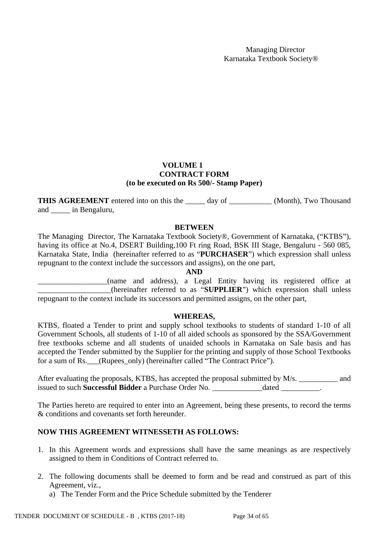## **VOLUME 1 CONTRACT FORM (to be executed on Rs 500/- Stamp Paper)**

**THIS AGREEMENT** entered into on this the day of (Month), Two Thousand and \_\_\_\_\_ in Bengaluru,

## **BETWEEN**

The Managing Director, The Karnataka Textbook Society®, Government of Karnataka, ("KTBS"), having its office at No.4, DSERT Building,100 Ft ring Road, BSK III Stage, Bengaluru - 560 085, Karnataka State, India (hereinafter referred to as "**PURCHASER**") which expression shall unless repugnant to the context include the successors and assigns), on the one part,

## **AND**

\_\_\_\_\_\_\_\_\_\_\_\_\_\_\_\_\_\_(name and address), a Legal Entity having its registered office at \_\_\_\_\_\_\_\_\_\_\_\_\_\_\_\_\_\_\_(hereinafter referred to as "**SUPPLIER**") which expression shall unless repugnant to the context include its successors and permitted assigns, on the other part,

#### **WHEREAS,**

KTBS, floated a Tender to print and supply school textbooks to students of standard 1-10 of all Government Schools, all students of 1-10 of all aided schools as sponsored by the SSA/Government free textbooks scheme and all students of unaided schools in Karnataka on Sale basis and has accepted the Tender submitted by the Supplier for the printing and supply of those School Textbooks for a sum of Rs.\_\_\_(Rupees\_only) (hereinafter called "The Contract Price").

After evaluating the proposals, KTBS, has accepted the proposal submitted by M/s. \_\_\_\_\_\_\_\_\_\_ and issued to such **Successful Bidder** a Purchase Order No. \_\_\_\_\_\_\_\_\_\_\_\_\_dated \_\_\_\_\_\_\_\_\_\_.

The Parties hereto are required to enter into an Agreement, being these presents, to record the terms & conditions and covenants set forth hereunder.

#### **NOW THIS AGREEMENT WITNESSETH AS FOLLOWS:**

- 1. In this Agreement words and expressions shall have the same meanings as are respectively assigned to them in Conditions of Contract referred to.
- 2. The following documents shall be deemed to form and be read and construed as part of this Agreement, viz.,

a) The Tender Form and the Price Schedule submitted by the Tenderer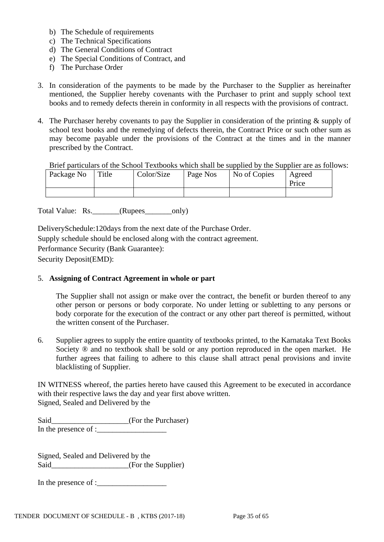- b) The Schedule of requirements
- c) The Technical Specifications
- d) The General Conditions of Contract
- e) The Special Conditions of Contract, and
- f) The Purchase Order
- 3. In consideration of the payments to be made by the Purchaser to the Supplier as hereinafter mentioned, the Supplier hereby covenants with the Purchaser to print and supply school text books and to remedy defects therein in conformity in all respects with the provisions of contract.
- 4. The Purchaser hereby covenants to pay the Supplier in consideration of the printing & supply of school text books and the remedying of defects therein, the Contract Price or such other sum as may become payable under the provisions of the Contract at the times and in the manner prescribed by the Contract.

Brief particulars of the School Textbooks which shall be supplied by the Supplier are as follows:

| Package No | Title | Color/Size | Page Nos | No of Copies | Agreed |
|------------|-------|------------|----------|--------------|--------|
|            |       |            |          |              | Price  |
|            |       |            |          |              |        |

Total Value: Rs.\_\_\_\_\_\_\_(Rupees\_\_\_\_\_\_\_only)

DeliverySchedule:120days from the next date of the Purchase Order. Supply schedule should be enclosed along with the contract agreement. Performance Security (Bank Guarantee): Security Deposit(EMD):

## 5. **Assigning of Contract Agreement in whole or part**

The Supplier shall not assign or make over the contract, the benefit or burden thereof to any other person or persons or body corporate. No under letting or subletting to any persons or body corporate for the execution of the contract or any other part thereof is permitted, without the written consent of the Purchaser.

6. Supplier agrees to supply the entire quantity of textbooks printed, to the Karnataka Text Books Society  $\otimes$  and no textbook shall be sold or any portion reproduced in the open market. He further agrees that failing to adhere to this clause shall attract penal provisions and invite blacklisting of Supplier.

IN WITNESS whereof, the parties hereto have caused this Agreement to be executed in accordance with their respective laws the day and year first above written. Signed, Sealed and Delivered by the

| Said                 | (For the Purchaser) |
|----------------------|---------------------|
| In the presence of : |                     |

Signed, Sealed and Delivered by the Said (For the Supplier)

In the presence of :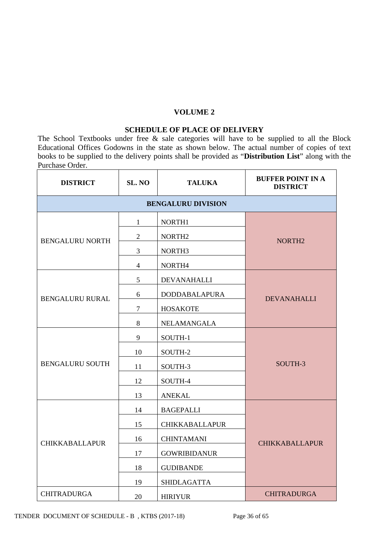#### **VOLUME 2**

#### **SCHEDULE OF PLACE OF DELIVERY**

The School Textbooks under free & sale categories will have to be supplied to all the Block Educational Offices Godowns in the state as shown below. The actual number of copies of text books to be supplied to the delivery points shall be provided as "**Distribution List**" along with the Purchase Order.

| <b>DISTRICT</b>        | SL. NO         | <b>TALUKA</b>             | <b>BUFFER POINT IN A</b><br><b>DISTRICT</b> |
|------------------------|----------------|---------------------------|---------------------------------------------|
|                        |                | <b>BENGALURU DIVISION</b> |                                             |
|                        | $\mathbf{1}$   | NORTH1                    |                                             |
| <b>BENGALURU NORTH</b> | $\mathfrak{2}$ | NORTH <sub>2</sub>        | NORTH <sub>2</sub>                          |
|                        | 3              | NORTH <sub>3</sub>        |                                             |
|                        | $\overline{4}$ | NORTH4                    |                                             |
|                        | 5              | <b>DEVANAHALLI</b>        |                                             |
| <b>BENGALURU RURAL</b> | 6              | <b>DODDABALAPURA</b>      | <b>DEVANAHALLI</b>                          |
|                        | $\overline{7}$ | <b>HOSAKOTE</b>           |                                             |
|                        | 8              | NELAMANGALA               |                                             |
|                        | 9              | SOUTH-1                   |                                             |
|                        | 10             | SOUTH-2                   |                                             |
| <b>BENGALURU SOUTH</b> | 11             | SOUTH-3                   | SOUTH-3                                     |
|                        | 12             | SOUTH-4                   |                                             |
|                        | 13             | <b>ANEKAL</b>             |                                             |
|                        | 14             | <b>BAGEPALLI</b>          |                                             |
|                        | 15             | <b>CHIKKABALLAPUR</b>     |                                             |
| <b>CHIKKABALLAPUR</b>  | 16             | <b>CHINTAMANI</b>         | <b>CHIKKABALLAPUR</b>                       |
|                        | 17             | <b>GOWRIBIDANUR</b>       |                                             |
|                        | 18             | <b>GUDIBANDE</b>          |                                             |
|                        | 19             | <b>SHIDLAGATTA</b>        |                                             |
| <b>CHITRADURGA</b>     | 20             | <b>HIRIYUR</b>            | <b>CHITRADURGA</b>                          |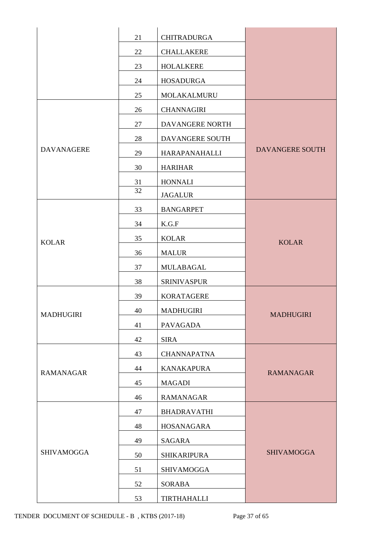|                   | 21 | <b>CHITRADURGA</b> |                        |
|-------------------|----|--------------------|------------------------|
|                   | 22 | <b>CHALLAKERE</b>  |                        |
|                   | 23 | <b>HOLALKERE</b>   |                        |
|                   | 24 | <b>HOSADURGA</b>   |                        |
|                   | 25 | MOLAKALMURU        |                        |
|                   | 26 | <b>CHANNAGIRI</b>  |                        |
|                   | 27 | DAVANGERE NORTH    |                        |
|                   | 28 | DAVANGERE SOUTH    |                        |
| <b>DAVANAGERE</b> | 29 | HARAPANAHALLI      | <b>DAVANGERE SOUTH</b> |
|                   | 30 | <b>HARIHAR</b>     |                        |
|                   | 31 | <b>HONNALI</b>     |                        |
|                   | 32 | <b>JAGALUR</b>     |                        |
|                   | 33 | <b>BANGARPET</b>   |                        |
|                   | 34 | K.G.F              |                        |
| <b>KOLAR</b>      | 35 | <b>KOLAR</b>       | <b>KOLAR</b>           |
|                   | 36 | <b>MALUR</b>       |                        |
|                   | 37 | MULABAGAL          |                        |
|                   | 38 | <b>SRINIVASPUR</b> |                        |
|                   | 39 | <b>KORATAGERE</b>  |                        |
| MADHUGIRI         | 40 | <b>MADHUGIRI</b>   | <b>MADHUGIRI</b>       |
|                   | 41 | <b>PAVAGADA</b>    |                        |
|                   | 42 | <b>SIRA</b>        |                        |
|                   | 43 | <b>CHANNAPATNA</b> |                        |
| <b>RAMANAGAR</b>  | 44 | <b>KANAKAPURA</b>  | <b>RAMANAGAR</b>       |
|                   | 45 | <b>MAGADI</b>      |                        |
|                   | 46 | <b>RAMANAGAR</b>   |                        |
|                   | 47 | <b>BHADRAVATHI</b> |                        |
|                   | 48 | HOSANAGARA         |                        |
|                   | 49 | <b>SAGARA</b>      |                        |
| <b>SHIVAMOGGA</b> | 50 | <b>SHIKARIPURA</b> | <b>SHIVAMOGGA</b>      |
|                   | 51 | <b>SHIVAMOGGA</b>  |                        |
|                   | 52 | <b>SORABA</b>      |                        |
|                   | 53 | TIRTHAHALLI        |                        |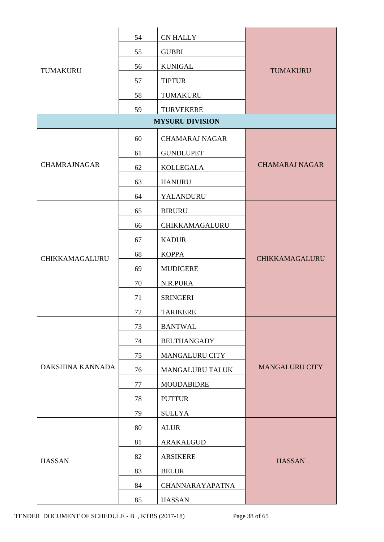|                     | 54 | <b>CN HALLY</b>        |                       |
|---------------------|----|------------------------|-----------------------|
| TUMAKURU            | 55 | <b>GUBBI</b>           |                       |
|                     | 56 | <b>KUNIGAL</b>         | <b>TUMAKURU</b>       |
|                     | 57 | <b>TIPTUR</b>          |                       |
|                     | 58 | TUMAKURU               |                       |
|                     | 59 | <b>TURVEKERE</b>       |                       |
|                     |    | <b>MYSURU DIVISION</b> |                       |
|                     | 60 | <b>CHAMARAJ NAGAR</b>  |                       |
|                     | 61 | <b>GUNDLUPET</b>       |                       |
| <b>CHAMRAJNAGAR</b> | 62 | <b>KOLLEGALA</b>       | <b>CHAMARAJ NAGAR</b> |
|                     | 63 | <b>HANURU</b>          |                       |
|                     | 64 | YALANDURU              |                       |
|                     | 65 | <b>BIRURU</b>          |                       |
|                     | 66 | CHIKKAMAGALURU         |                       |
|                     | 67 | <b>KADUR</b>           |                       |
| CHIKKAMAGALURU      | 68 | <b>KOPPA</b>           | CHIKKAMAGALURU        |
|                     | 69 | <b>MUDIGERE</b>        |                       |
|                     | 70 | N.R.PURA               |                       |
|                     | 71 | <b>SRINGERI</b>        |                       |
|                     | 72 | <b>TARIKERE</b>        |                       |
|                     | 73 | <b>BANTWAL</b>         |                       |
|                     | 74 | <b>BELTHANGADY</b>     |                       |
|                     | 75 | <b>MANGALURU CITY</b>  |                       |
| DAKSHINA KANNADA    | 76 | MANGALURU TALUK        | <b>MANGALURU CITY</b> |
|                     | 77 | <b>MOODABIDRE</b>      |                       |
|                     | 78 | <b>PUTTUR</b>          |                       |
|                     | 79 | <b>SULLYA</b>          |                       |
|                     | 80 | <b>ALUR</b>            |                       |
|                     | 81 | ARAKALGUD              |                       |
| <b>HASSAN</b>       | 82 | <b>ARSIKERE</b>        | <b>HASSAN</b>         |
|                     | 83 | <b>BELUR</b>           |                       |
|                     | 84 | <b>CHANNARAYAPATNA</b> |                       |
|                     | 85 | <b>HASSAN</b>          |                       |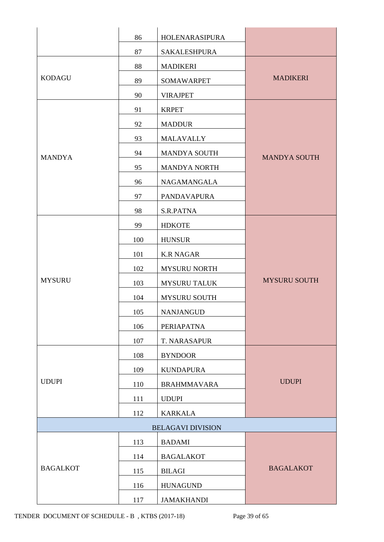|                 | 86  | HOLENARASIPURA           |                     |
|-----------------|-----|--------------------------|---------------------|
|                 | 87  | <b>SAKALESHPURA</b>      |                     |
|                 | 88  | <b>MADIKERI</b>          |                     |
| <b>KODAGU</b>   | 89  | <b>SOMAWARPET</b>        | <b>MADIKERI</b>     |
|                 | 90  | <b>VIRAJPET</b>          |                     |
|                 | 91  | <b>KRPET</b>             |                     |
|                 | 92  | <b>MADDUR</b>            |                     |
|                 | 93  | <b>MALAVALLY</b>         |                     |
| <b>MANDYA</b>   | 94  | MANDYA SOUTH             | <b>MANDYA SOUTH</b> |
|                 | 95  | <b>MANDYA NORTH</b>      |                     |
|                 | 96  | NAGAMANGALA              |                     |
|                 | 97  | PANDAVAPURA              |                     |
|                 | 98  | S.R.PATNA                |                     |
|                 | 99  | <b>HDKOTE</b>            |                     |
|                 | 100 | <b>HUNSUR</b>            |                     |
|                 | 101 | <b>K.R NAGAR</b>         |                     |
|                 | 102 | <b>MYSURU NORTH</b>      |                     |
| <b>MYSURU</b>   | 103 | <b>MYSURU TALUK</b>      | <b>MYSURU SOUTH</b> |
|                 | 104 | <b>MYSURU SOUTH</b>      |                     |
|                 | 105 | <b>NANJANGUD</b>         |                     |
|                 | 106 | PERIAPATNA               |                     |
|                 | 107 | T. NARASAPUR             |                     |
|                 | 108 | <b>BYNDOOR</b>           |                     |
|                 | 109 | <b>KUNDAPURA</b>         |                     |
| <b>UDUPI</b>    | 110 | <b>BRAHMMAVARA</b>       | <b>UDUPI</b>        |
|                 | 111 | <b>UDUPI</b>             |                     |
|                 | 112 | <b>KARKALA</b>           |                     |
|                 |     | <b>BELAGAVI DIVISION</b> |                     |
|                 | 113 | <b>BADAMI</b>            |                     |
|                 | 114 | <b>BAGALAKOT</b>         |                     |
| <b>BAGALKOT</b> | 115 | <b>BILAGI</b>            | <b>BAGALAKOT</b>    |
|                 | 116 | <b>HUNAGUND</b>          |                     |
|                 | 117 | <b>JAMAKHANDI</b>        |                     |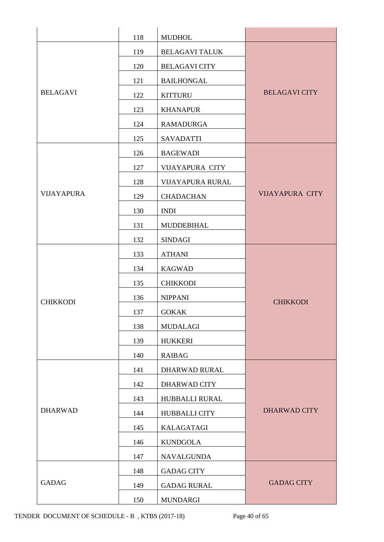|                   | 118 | <b>MUDHOL</b>          |                        |
|-------------------|-----|------------------------|------------------------|
|                   | 119 | <b>BELAGAVI TALUK</b>  |                        |
|                   | 120 | <b>BELAGAVI CITY</b>   |                        |
|                   | 121 | <b>BAILHONGAL</b>      |                        |
| <b>BELAGAVI</b>   | 122 | <b>KITTURU</b>         | <b>BELAGAVI CITY</b>   |
|                   | 123 | <b>KHANAPUR</b>        |                        |
|                   | 124 | <b>RAMADURGA</b>       |                        |
|                   | 125 | <b>SAVADATTI</b>       |                        |
|                   | 126 | <b>BAGEWADI</b>        |                        |
|                   | 127 | <b>VIJAYAPURA CITY</b> |                        |
|                   | 128 | VIJAYAPURA RURAL       |                        |
| <b>VIJAYAPURA</b> | 129 | <b>CHADACHAN</b>       | <b>VIJAYAPURA CITY</b> |
|                   | 130 | <b>INDI</b>            |                        |
|                   | 131 | MUDDEBIHAL             |                        |
|                   | 132 | <b>SINDAGI</b>         |                        |
|                   | 133 | <b>ATHANI</b>          |                        |
|                   | 134 | <b>KAGWAD</b>          |                        |
|                   | 135 | <b>CHIKKODI</b>        |                        |
| <b>CHIKKODI</b>   | 136 | <b>NIPPANI</b>         | <b>CHIKKODI</b>        |
|                   | 137 | <b>GOKAK</b>           |                        |
|                   | 138 | <b>MUDALAGI</b>        |                        |
|                   | 139 | <b>HUKKERI</b>         |                        |
|                   | 140 | <b>RAIBAG</b>          |                        |
|                   | 141 | DHARWAD RURAL          |                        |
|                   | 142 | DHARWAD CITY           |                        |
|                   | 143 | HUBBALLI RURAL         |                        |
| <b>DHARWAD</b>    | 144 | <b>HUBBALLI CITY</b>   | <b>DHARWAD CITY</b>    |
|                   | 145 | <b>KALAGATAGI</b>      |                        |
|                   | 146 | <b>KUNDGOLA</b>        |                        |
|                   | 147 | <b>NAVALGUNDA</b>      |                        |
|                   | 148 | <b>GADAG CITY</b>      |                        |
| <b>GADAG</b>      | 149 | <b>GADAG RURAL</b>     | <b>GADAG CITY</b>      |
|                   | 150 | <b>MUNDARGI</b>        |                        |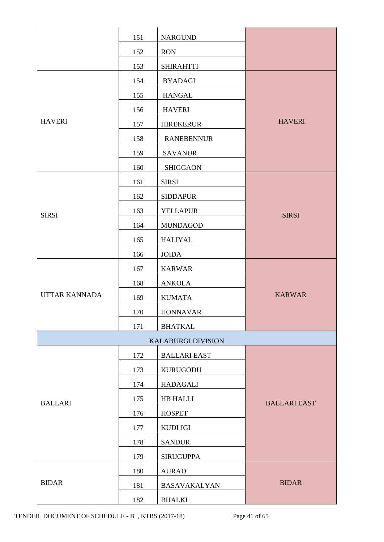|                      | 151 | <b>NARGUND</b>            |                     |
|----------------------|-----|---------------------------|---------------------|
|                      | 152 | <b>RON</b>                |                     |
|                      | 153 | <b>SHIRAHTTI</b>          |                     |
|                      | 154 | <b>BYADAGI</b>            |                     |
|                      | 155 | <b>HANGAL</b>             |                     |
|                      | 156 | <b>HAVERI</b>             |                     |
| <b>HAVERI</b>        | 157 | <b>HIREKERUR</b>          | <b>HAVERI</b>       |
|                      | 158 | <b>RANEBENNUR</b>         |                     |
|                      | 159 | <b>SAVANUR</b>            |                     |
|                      | 160 | <b>SHIGGAON</b>           |                     |
|                      | 161 | <b>SIRSI</b>              |                     |
|                      | 162 | <b>SIDDAPUR</b>           |                     |
| <b>SIRSI</b>         | 163 | <b>YELLAPUR</b>           | <b>SIRSI</b>        |
|                      | 164 | <b>MUNDAGOD</b>           |                     |
|                      | 165 | <b>HALIYAL</b>            |                     |
|                      | 166 | <b>JOIDA</b>              |                     |
|                      | 167 | <b>KARWAR</b>             |                     |
|                      | 168 | <b>ANKOLA</b>             |                     |
| <b>UTTAR KANNADA</b> | 169 | <b>KUMATA</b>             | <b>KARWAR</b>       |
|                      | 170 | <b>HONNAVAR</b>           |                     |
|                      | 171 | <b>BHATKAL</b>            |                     |
|                      |     | <b>KALABURGI DIVISION</b> |                     |
|                      | 172 | <b>BALLARI EAST</b>       |                     |
|                      | 173 | <b>KURUGODU</b>           |                     |
|                      | 174 | HADAGALI                  |                     |
| <b>BALLARI</b>       | 175 | HB HALLI                  | <b>BALLARI EAST</b> |
|                      | 176 | <b>HOSPET</b>             |                     |
|                      | 177 | <b>KUDLIGI</b>            |                     |
|                      | 178 | <b>SANDUR</b>             |                     |
|                      | 179 | <b>SIRUGUPPA</b>          |                     |
|                      | 180 | <b>AURAD</b>              |                     |
| <b>BIDAR</b>         | 181 | <b>BASAVAKALYAN</b>       | <b>BIDAR</b>        |
|                      | 182 | <b>BHALKI</b>             |                     |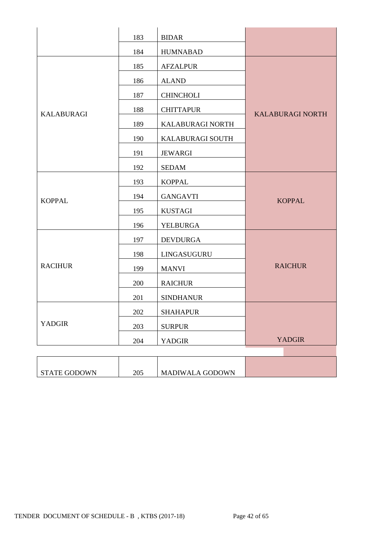|                     | 183 | <b>BIDAR</b>     |                         |  |
|---------------------|-----|------------------|-------------------------|--|
|                     | 184 | <b>HUMNABAD</b>  |                         |  |
|                     | 185 | <b>AFZALPUR</b>  |                         |  |
|                     | 186 | <b>ALAND</b>     |                         |  |
|                     | 187 | <b>CHINCHOLI</b> |                         |  |
| <b>KALABURAGI</b>   | 188 | <b>CHITTAPUR</b> | <b>KALABURAGI NORTH</b> |  |
|                     | 189 | KALABURAGI NORTH |                         |  |
|                     | 190 | KALABURAGI SOUTH |                         |  |
|                     | 191 | <b>JEWARGI</b>   |                         |  |
|                     | 192 | <b>SEDAM</b>     |                         |  |
|                     | 193 | <b>KOPPAL</b>    |                         |  |
| <b>KOPPAL</b>       | 194 | <b>GANGAVTI</b>  | <b>KOPPAL</b>           |  |
|                     | 195 | <b>KUSTAGI</b>   |                         |  |
|                     | 196 | <b>YELBURGA</b>  |                         |  |
|                     | 197 | <b>DEVDURGA</b>  |                         |  |
|                     | 198 | LINGASUGURU      |                         |  |
| <b>RACIHUR</b>      | 199 | <b>MANVI</b>     | <b>RAICHUR</b>          |  |
|                     | 200 | <b>RAICHUR</b>   |                         |  |
|                     | 201 | <b>SINDHANUR</b> |                         |  |
|                     | 202 | <b>SHAHAPUR</b>  |                         |  |
| <b>YADGIR</b>       | 203 | <b>SURPUR</b>    |                         |  |
|                     | 204 | <b>YADGIR</b>    | <b>YADGIR</b>           |  |
|                     |     |                  |                         |  |
| <b>STATE GODOWN</b> | 205 | MADIWALA GODOWN  |                         |  |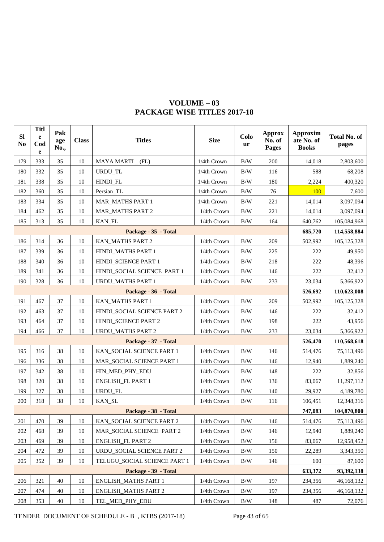| SI<br>N <sub>0</sub> | <b>Titl</b><br>e<br>Cod<br>e | Pak<br>age<br>No., | <b>Class</b> | <b>Titles</b>                             | <b>Size</b> | Colo<br>ur | <b>Approx</b><br>No. of<br>Pages | <b>Approxim</b><br>ate No. of<br><b>Books</b> | <b>Total No. of</b><br>pages |
|----------------------|------------------------------|--------------------|--------------|-------------------------------------------|-------------|------------|----------------------------------|-----------------------------------------------|------------------------------|
| 179                  | 333                          | 35                 | 10           | MAYA MARTI (FL)                           | 1/4th Crown | B/W        | 200                              | 14,018                                        | 2,803,600                    |
| 180                  | 332                          | 35                 | 10           | URDU_TL                                   | 1/4th Crown | B/W        | 116                              | 588                                           | 68,208                       |
| 181                  | 338                          | 35                 | 10           | HINDI_FL                                  | 1/4th Crown | B/W        | 180                              | 2,224                                         | 400,320                      |
| 182                  | 360                          | 35                 | 10           | Persian_TL                                | 1/4th Crown | $\rm\,B/W$ | 76                               | 100                                           | 7,600                        |
| 183                  | 334                          | 35                 | 10           | <b>MAR_MATHS PART 1</b>                   | 1/4th Crown | B/W        | 221                              | 14,014                                        | 3,097,094                    |
| 184                  | 462                          | 35                 | 10           | <b>MAR_MATHS PART 2</b>                   | 1/4th Crown | $\rm\,B/W$ | 221                              | 14,014                                        | 3,097,094                    |
| 185                  | 313                          | 35                 | 10           | KAN_FL                                    | 1/4th Crown | B/W        | 164                              | 640,762                                       | 105,084,968                  |
|                      |                              |                    |              | Package - 35 - Total                      |             |            |                                  | 685,720                                       | 114,558,884                  |
| 186                  | 314                          | 36                 | 10           | KAN_MATHS PART 2                          | 1/4th Crown | $\rm\,B/W$ | 209                              | 502,992                                       | 105,125,328                  |
| 187                  | 339                          | 36                 | 10           | HINDI_MATHS PART 1                        | 1/4th Crown | B/W        | 225                              | 222                                           | 49,950                       |
| 188                  | 340                          | 36                 | 10           | HINDI_SCIENCE PART 1                      | 1/4th Crown | B/W        | 218                              | 222                                           | 48,396                       |
| 189                  | 341                          | 36                 | 10           | HINDI_SOCIAL SCIENCE PART 1               | 1/4th Crown | $\rm\,B/W$ | 146                              | 222                                           | 32,412                       |
| 190                  | 328                          | 36                 | 10           | <b>URDU_MATHS PART 1</b>                  | 1/4th Crown | $\rm\,B/W$ | 233                              | 23,034                                        | 5,366,922                    |
|                      | Package - 36 - Total         |                    |              |                                           |             |            |                                  | 526,692                                       | 110,623,008                  |
| 191                  | 467                          | 37                 | 10           | KAN_MATHS PART 1                          | 1/4th Crown | $\rm\,B/W$ | 209                              | 502,992                                       | 105, 125, 328                |
| 192                  | 463                          | 37                 | 10           | HINDI_SOCIAL SCIENCE PART 2               | 1/4th Crown | $\rm\,B/W$ | 146                              | 222                                           | 32,412                       |
| 193                  | 464                          | 37                 | 10           | HINDI SCIENCE PART 2                      | 1/4th Crown | B/W        | 198                              | 222                                           | 43,956                       |
| 194                  | 466                          | 37                 | 10           | <b>URDU_MATHS PART 2</b>                  | 1/4th Crown | $\rm\,B/W$ | 233                              | 23,034                                        | 5,366,922                    |
|                      |                              |                    |              | Package - 37 - Total                      |             |            |                                  | 526,470                                       | 110,568,618                  |
| 195                  | 316                          | 38                 | 10           | KAN_SOCIAL SCIENCE PART 1                 | 1/4th Crown | B/W        | 146                              | 514,476                                       | 75,113,496                   |
| 196                  | 336                          | 38                 | 10           | MAR_SOCIAL SCIENCE PART 1                 | 1/4th Crown | $\rm\,B/W$ | 146                              | 12,940                                        | 1,889,240                    |
| 197                  | 342                          | 38                 | 10           | HIN_MED_PHY_EDU                           | 1/4th Crown | B/W        | 148                              | 222                                           | 32,856                       |
| 198                  | 320                          | 38                 | 10           | ENGLISH_FL PART 1                         | 1/4th Crown | $\rm\,B/W$ | 136                              | 83,067                                        | 11,297,112                   |
| 199                  | 327                          | 38                 | 10           | URDU_FL                                   | 1/4th Crown | $\rm\,B/W$ | 140                              | 29,927                                        | 4,189,780                    |
| 200                  | 318                          | 38                 | 10           | KAN_SL                                    | 1/4th Crown | $\rm\,B/W$ | 116                              | 106,451                                       | 12,348,316                   |
|                      |                              |                    |              | Package - 38 - Total                      |             |            |                                  | 747,083                                       | 104,870,800                  |
| 201                  | 470                          | 39                 | 10           | KAN_SOCIAL SCIENCE PART 2                 | 1/4th Crown | $\rm\,B/W$ | 146                              | 514,476                                       | 75,113,496                   |
| 202                  | 468                          | 39                 | 10           | MAR_SOCIAL SCIENCE PART 2                 | 1/4th Crown | $\rm\,B/W$ | 146                              | 12,940                                        | 1,889,240                    |
| 203                  | 469                          | 39                 | 10           | <b>ENGLISH_FL PART 2</b>                  | 1/4th Crown | B/W        | 156                              | 83,067                                        | 12,958,452                   |
| 204                  | 472                          | 39                 | 10           | URDU_SOCIAL SCIENCE PART 2<br>1/4th Crown |             | B/W        | 150                              | 22,289                                        | 3,343,350                    |
| 205                  | 352                          | 39                 | 10           | TELUGU_SOCIAL SCIENCE PART 1              | 1/4th Crown | B/W        | 146                              | 600                                           | 87,600                       |
|                      |                              |                    |              | Package - 39 - Total                      |             |            |                                  | 633,372                                       | 93,392,138                   |
| 206                  | 321                          | 40                 | 10           | <b>ENGLISH_MATHS PART 1</b>               | 1/4th Crown | $\rm\,B/W$ | 197                              | 234,356                                       | 46,168,132                   |
| 207                  | 474                          | 40                 | 10           | <b>ENGLISH MATHS PART 2</b>               | 1/4th Crown | B/W        | 197                              | 234,356                                       | 46,168,132                   |
| 208                  | 353                          | 40                 | 10           | TEL_MED_PHY_EDU                           | 1/4th Crown | B/W        | 148                              | 487                                           | 72,076                       |

# **VOLUME – 03 PACKAGE WISE TITLES 2017-18**

TENDER DOCUMENT OF SCHEDULE - B , KTBS (2017-18) Page 43 of 65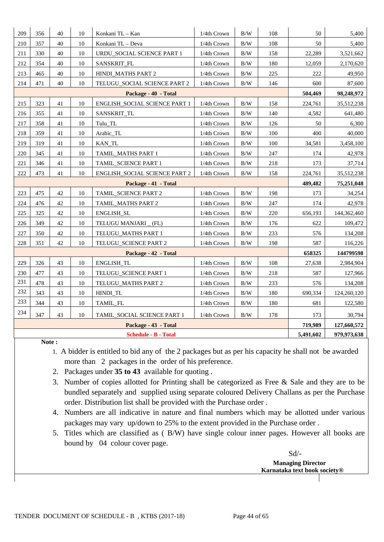| 209 | 356                                                  | 40 | 10     | Konkani TL - Kan              | 1/4th Crown | $\rm\,B/W$ | 108 | 50        | 5,400       |
|-----|------------------------------------------------------|----|--------|-------------------------------|-------------|------------|-----|-----------|-------------|
| 210 | 357                                                  | 40 | 10     | Konkani TL - Deva             | 1/4th Crown | $\rm\,B/W$ | 108 | 50        | 5,400       |
| 211 | 330                                                  | 40 | 10     | URDU SOCIAL SCIENCE PART 1    | 1/4th Crown | B/W        | 158 | 22,289    | 3,521,662   |
| 212 | 354                                                  | 40 | 10     | SANSKRIT_FL                   | 1/4th Crown | $\rm\,B/W$ | 180 | 12,059    | 2,170,620   |
| 213 | 465                                                  | 40 | 10     | HINDI_MATHS PART 2            | 1/4th Crown | $\rm\,B/W$ | 225 | 222       | 49,950      |
| 214 | 471                                                  | 40 | $10\,$ | TELUGU_SOCIAL SCIENCE PART 2  | 1/4th Crown | $\rm\,B/W$ | 146 | 600       | 87,600      |
|     |                                                      |    |        | Package - 40 - Total          |             |            |     | 504,469   | 98,248,972  |
| 215 | 323                                                  | 41 | 10     | ENGLISH_SOCIAL SCIENCE PART 1 | 1/4th Crown | B/W        | 158 | 224,761   | 35,512,238  |
| 216 | 355                                                  | 41 | 10     | SANSKRIT_TL                   | 1/4th Crown | B/W        | 140 | 4,582     | 641,480     |
| 217 | 358                                                  | 41 | 10     | Tulu_TL                       | 1/4th Crown | $\rm\,B/W$ | 126 | 50        | 6,300       |
| 218 | 359                                                  | 41 | 10     | Arabic_TL                     | 1/4th Crown | $\rm\,B/W$ | 100 | 400       | 40,000      |
| 219 | 319                                                  | 41 | 10     | KAN_TL                        | 1/4th Crown | $\rm\,B/W$ | 100 | 34,581    | 3,458,100   |
| 220 | 345                                                  | 41 | 10     | <b>TAMIL MATHS PART 1</b>     | 1/4th Crown | $\rm\,B/W$ | 247 | 174       | 42,978      |
| 221 | 346                                                  | 41 | $10\,$ | TAMIL_SCIENCE PART 1          | 1/4th Crown | $\rm\,B/W$ | 218 | 173       | 37,714      |
| 222 | 41<br>$10\,$<br>473<br>ENGLISH_SOCIAL SCIENCE PART 2 |    |        |                               | 1/4th Crown | $\rm\,B/W$ | 158 | 224,761   | 35,512,238  |
|     |                                                      |    |        | Package - 41 - Total          |             |            |     | 489,482   | 75,251,048  |
| 223 | 475                                                  | 42 | 10     | TAMIL_SCIENCE PART 2          | 1/4th Crown | $\rm\,B/W$ | 198 | 173       | 34,254      |
| 224 | 476                                                  | 42 | 10     | TAMIL_MATHS PART 2            | 1/4th Crown | $\rm\,B/W$ | 247 | 174       | 42,978      |
| 225 | 325                                                  | 42 | $10\,$ | ENGLISH_SL                    | 1/4th Crown | $\rm\,B/W$ | 220 | 656,193   | 144,362,460 |
| 226 | 349                                                  | 42 | $10\,$ | TELUGU MANJARI _ (FL)         | 1/4th Crown | B/W        | 176 | 622       | 109,472     |
| 227 | 350                                                  | 42 | 10     | TELUGU_MATHS PART 1           | 1/4th Crown | $\rm\,B/W$ | 233 | 576       | 134,208     |
| 228 | 351                                                  | 42 | 10     | TELUGU SCIENCE PART 2         | 1/4th Crown | $\rm\,B/W$ | 198 | 587       | 116,226     |
|     |                                                      |    |        | Package - 42 - Total          |             |            |     | 658325    | 144799598   |
| 229 | 326                                                  | 43 | $10\,$ | ENGLISH_TL                    | 1/4th Crown | $\rm\,B/W$ | 108 | 27,638    | 2,984,904   |
| 230 | 477                                                  | 43 | 10     | TELUGU_SCIENCE PART 1         | 1/4th Crown | $\rm\,B/W$ | 218 | 587       | 127,966     |
| 231 | 478                                                  | 43 | 10     | TELUGU_MATHS PART 2           | 1/4th Crown | B/W        | 233 | 576       | 134,208     |
| 232 | 343                                                  | 43 | 10     | HINDI_TL                      | 1/4th Crown | $\rm\,B/W$ | 180 | 690,334   | 124,260,120 |
| 233 | 344                                                  | 43 | 10     | TAMIL_FL                      | 1/4th Crown | $\rm\,B/W$ | 180 | 681       | 122,580     |
| 234 | 347                                                  | 43 | 10     | TAMIL_SOCIAL SCIENCE PART 1   | 1/4th Crown | B/W        | 178 | 173       | 30,794      |
|     | Package - 43 - Total                                 |    |        |                               |             |            |     | 719,989   | 127,660,572 |
|     |                                                      |    |        | <b>Schedule - B - Total</b>   |             |            |     | 5,491,602 | 979,973,638 |
|     |                                                      |    |        |                               |             |            |     |           |             |

#### **Note :**

 1. A bidder is entitled to bid any of the 2 packages but as per his capacity he shall not be awarded more than 2 packages in the order of his preference.

- 2. Packages under **35 to 43** available for quoting .
- 3. Number of copies allotted for Printing shall be categorized as Free & Sale and they are to be bundled separately and supplied using separate coloured Delivery Challans as per the Purchase order. Distribution list shall be provided with the Purchase order .
- 4. Numbers are all indicative in nature and final numbers which may be allotted under various packages may vary up/down to 25% to the extent provided in the Purchase order .
- 5. Titles which are classified as ( B/W) have single colour inner pages. However all books are bound by 04 colour cover page.

Sd/- **Managing Director Karnataka text book society®**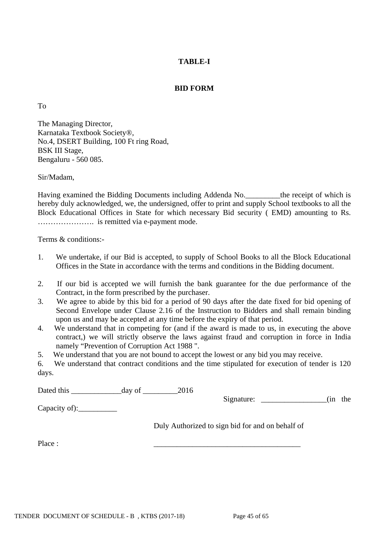# **TABLE-I**

## **BID FORM**

To

The Managing Director, Karnataka Textbook Society®, No.4, DSERT Building, 100 Ft ring Road, BSK III Stage, Bengaluru - 560 085.

Sir/Madam,

Having examined the Bidding Documents including Addenda No.\_\_\_\_\_\_\_\_\_the receipt of which is hereby duly acknowledged, we, the undersigned, offer to print and supply School textbooks to all the Block Educational Offices in State for which necessary Bid security ( EMD) amounting to Rs. …………………. is remitted via e-payment mode.

Terms & conditions:-

- 1. We undertake, if our Bid is accepted, to supply of School Books to all the Block Educational Offices in the State in accordance with the terms and conditions in the Bidding document.
- 2. If our bid is accepted we will furnish the bank guarantee for the due performance of the Contract, in the form prescribed by the purchaser.
- 3. We agree to abide by this bid for a period of 90 days after the date fixed for bid opening of Second Envelope under Clause 2.16 of the Instruction to Bidders and shall remain binding upon us and may be accepted at any time before the expiry of that period.
- 4. We understand that in competing for (and if the award is made to us, in executing the above contract,) we will strictly observe the laws against fraud and corruption in force in India namely "Prevention of Corruption Act 1988 ".
- 5. We understand that you are not bound to accept the lowest or any bid you may receive.

6. We understand that contract conditions and the time stipulated for execution of tender is 120 days.

Dated this \_\_\_\_\_\_\_\_\_\_\_\_\_day of \_\_\_\_\_\_\_\_\_2016 Signature:  $\qquad \qquad$  (in the Capacity of): Duly Authorized to sign bid for and on behalf of Place : \_\_\_\_\_\_\_\_\_\_\_\_\_\_\_\_\_\_\_\_\_\_\_\_\_\_\_\_\_\_\_\_\_\_\_\_\_\_

TENDER DOCUMENT OF SCHEDULE - B, KTBS (2017-18) Page 45 of 65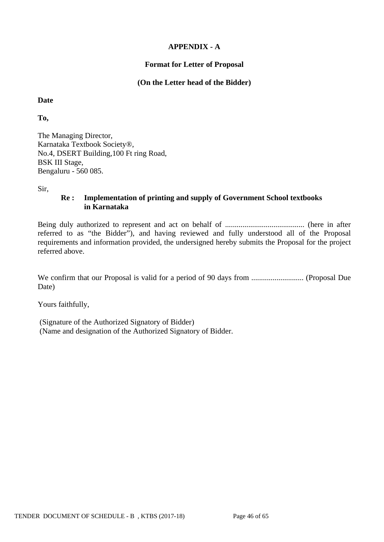# **APPENDIX - A**

## **Format for Letter of Proposal**

## **(On the Letter head of the Bidder)**

**Date**

**To,**

The Managing Director, Karnataka Textbook Society®, No.4, DSERT Building,100 Ft ring Road, BSK III Stage, Bengaluru - 560 085.

Sir,

# **Re : Implementation of printing and supply of Government School textbooks in Karnataka**

Being duly authorized to represent and act on behalf of ......................................... (here in after referred to as "the Bidder"), and having reviewed and fully understood all of the Proposal requirements and information provided, the undersigned hereby submits the Proposal for the project referred above.

We confirm that our Proposal is valid for a period of 90 days from ........................... (Proposal Due Date)

Yours faithfully,

(Signature of the Authorized Signatory of Bidder) (Name and designation of the Authorized Signatory of Bidder.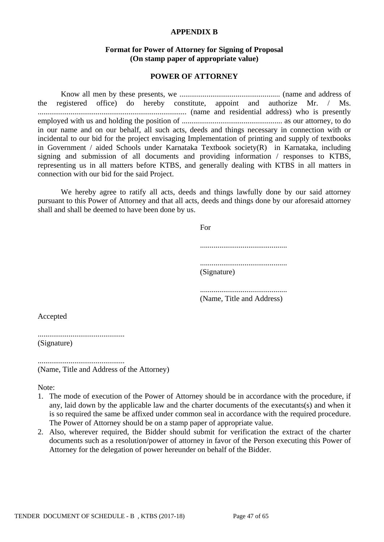#### **APPENDIX B**

## **Format for Power of Attorney for Signing of Proposal (On stamp paper of appropriate value)**

#### **POWER OF ATTORNEY**

Know all men by these presents, we .................................................... (name and address of the registered office) do hereby constitute, appoint and authorize Mr. / Ms. ............................................................................. (name and residential address) who is presently employed with us and holding the position of .................................................... as our attorney, to do in our name and on our behalf, all such acts, deeds and things necessary in connection with or incidental to our bid for the project envisaging Implementation of printing and supply of textbooks in Government / aided Schools under Karnataka Textbook society(R) in Karnataka, including signing and submission of all documents and providing information / responses to KTBS, representing us in all matters before KTBS, and generally dealing with KTBS in all matters in connection with our bid for the said Project.

We hereby agree to ratify all acts, deeds and things lawfully done by our said attorney pursuant to this Power of Attorney and that all acts, deeds and things done by our aforesaid attorney shall and shall be deemed to have been done by us.

> For ............................................. ............................................. (Signature) ............................................. (Name, Title and Address)

Accepted

............................................. (Signature)

............................................. (Name, Title and Address of the Attorney)

Note:

- 1. The mode of execution of the Power of Attorney should be in accordance with the procedure, if any, laid down by the applicable law and the charter documents of the executants(s) and when it is so required the same be affixed under common seal in accordance with the required procedure. The Power of Attorney should be on a stamp paper of appropriate value.
- 2. Also, wherever required, the Bidder should submit for verification the extract of the charter documents such as a resolution/power of attorney in favor of the Person executing this Power of Attorney for the delegation of power hereunder on behalf of the Bidder.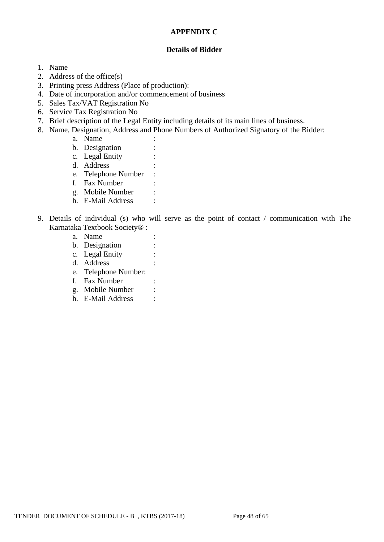## **APPENDIX C**

## **Details of Bidder**

## 1. Name

- 2. Address of the office(s)
- 3. Printing press Address (Place of production):
- 4. Date of incorporation and/or commencement of business
- 5. Sales Tax/VAT Registration No
- 6. Service Tax Registration No
- 7. Brief description of the Legal Entity including details of its main lines of business.
- 8. Name, Designation, Address and Phone Numbers of Authorized Signatory of the Bidder:
	- a. Name :
	- b. Designation :
	- c. Legal Entity :
	- d. Address :
	- e. Telephone Number :
	- f. Fax Number :
	- g. Mobile Number :
	- h. E-Mail Address :
- 9. Details of individual (s) who will serve as the point of contact / communication with The Karnataka Textbook Society® :
	- a. Name : b. Designation : c. Legal Entity : d. Address : e. Telephone Number: f. Fax Number : g. Mobile Number : h. E-Mail Address :

TENDER DOCUMENT OF SCHEDULE - B, KTBS (2017-18) Page 48 of 65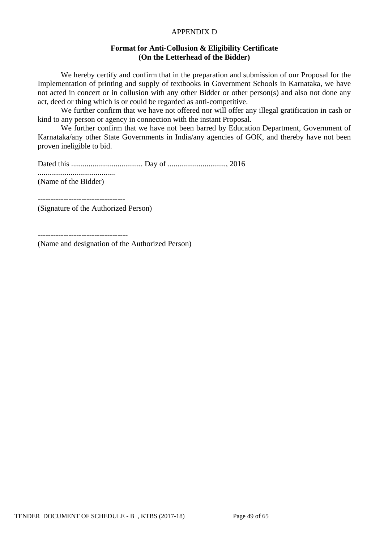#### APPENDIX D

## **Format for Anti-Collusion & Eligibility Certificate (On the Letterhead of the Bidder)**

We hereby certify and confirm that in the preparation and submission of our Proposal for the Implementation of printing and supply of textbooks in Government Schools in Karnataka, we have not acted in concert or in collusion with any other Bidder or other person(s) and also not done any act, deed or thing which is or could be regarded as anti-competitive.

We further confirm that we have not offered nor will offer any illegal gratification in cash or kind to any person or agency in connection with the instant Proposal.

We further confirm that we have not been barred by Education Department, Government of Karnataka/any other State Governments in India/any agencies of GOK, and thereby have not been proven ineligible to bid.

Dated this ..................................... Day of .............................., 2016 ........................................

(Name of the Bidder)

---------------------------------- (Signature of the Authorized Person)

-----------------------------------

(Name and designation of the Authorized Person)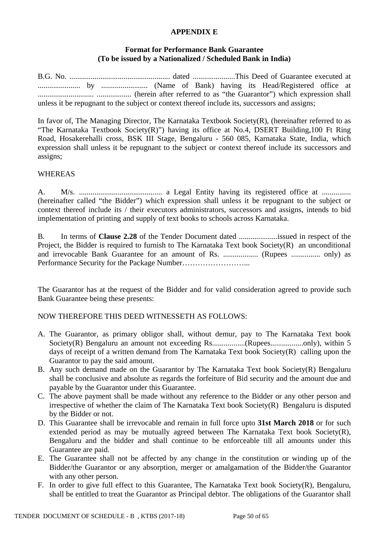#### **APPENDIX E**

## **Format for Performance Bank Guarantee (To be issued by a Nationalized / Scheduled Bank in India)**

B.G. No. .................................................... dated ......................This Deed of Guarantee executed at ...................... by ........................ (Name of Bank) having its Head/Registered office at ............................. .................. (herein after referred to as "the Guarantor") which expression shall unless it be repugnant to the subject or context thereof include its, successors and assigns;

In favor of, The Managing Director, The Karnataka Textbook Society(R), (hereinafter referred to as "The Karnataka Textbook Society(R)") having its office at No.4, DSERT Building,100 Ft Ring Road, Hosakerehalli cross, BSK III Stage, Bengaluru - 560 085, Karnataka State, India, which expression shall unless it be repugnant to the subject or context thereof include its successors and assigns;

#### WHEREAS

A. M/s. ........................................... a Legal Entity having its registered office at ............... (hereinafter called "the Bidder") which expression shall unless it be repugnant to the subject or context thereof include its / their executors administrators, successors and assigns, intends to bid implementation of printing and supply of text books to schools across Karnataka.

B. In terms of **Clause 2.28** of the Tender Document dated ....................issued in respect of the Project, the Bidder is required to furnish to The Karnataka Text book Society(R) an unconditional and irrevocable Bank Guarantee for an amount of Rs. .................. (Rupees ............... only) as Performance Security for the Package Number……………………...

The Guarantor has at the request of the Bidder and for valid consideration agreed to provide such Bank Guarantee being these presents:

## NOW THEREFORE THIS DEED WITNESSETH AS FOLLOWS:

- A. The Guarantor, as primary obligor shall, without demur, pay to The Karnataka Text book Society(R) Bengaluru an amount not exceeding Rs.................(Rupees.................only), within 5 days of receipt of a written demand from The Karnataka Text book Society(R) calling upon the Guarantor to pay the said amount.
- B. Any such demand made on the Guarantor by The Karnataka Text book Society(R) Bengaluru shall be conclusive and absolute as regards the forfeiture of Bid security and the amount due and payable by the Guarantor under this Guarantee.
- C. The above payment shall be made without any reference to the Bidder or any other person and irrespective of whether the claim of The Karnataka Text book Society(R) Bengaluru is disputed by the Bidder or not.
- D. This Guarantee shall be irrevocable and remain in full force upto **31st March 2018** or for such extended period as may be mutually agreed between The Karnataka Text book Society $(R)$ , Bengaluru and the bidder and shall continue to be enforceable till all amounts under this Guarantee are paid.
- E. The Guarantee shall not be affected by any change in the constitution or winding up of the Bidder/the Guarantor or any absorption, merger or amalgamation of the Bidder/the Guarantor with any other person.
- F. In order to give full effect to this Guarantee, The Karnataka Text book Society(R), Bengaluru, shall be entitled to treat the Guarantor as Principal debtor. The obligations of the Guarantor shall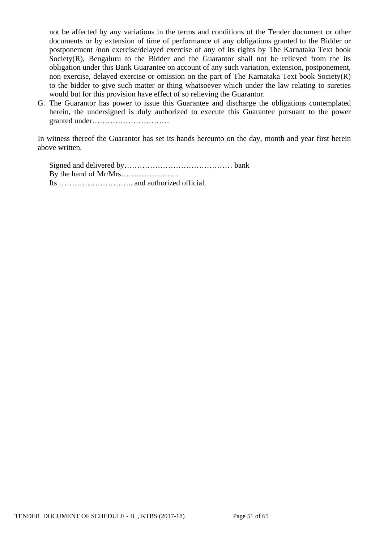not be affected by any variations in the terms and conditions of the Tender document or other documents or by extension of time of performance of any obligations granted to the Bidder or postponement /non exercise/delayed exercise of any of its rights by The Karnataka Text book Society(R), Bengaluru to the Bidder and the Guarantor shall not be relieved from the its obligation under this Bank Guarantee on account of any such variation, extension, postponement, non exercise, delayed exercise or omission on the part of The Karnataka Text book Society(R) to the bidder to give such matter or thing whatsoever which under the law relating to sureties would but for this provision have effect of so relieving the Guarantor.

G. The Guarantor has power to issue this Guarantee and discharge the obligations contemplated herein, the undersigned is duly authorized to execute this Guarantee pursuant to the power granted under…………………………

In witness thereof the Guarantor has set its hands hereunto on the day, month and year first herein above written.

Signed and delivered by…………………………………… bank By the hand of Mr/Mrs………………….. Its ……………………….. and authorized official.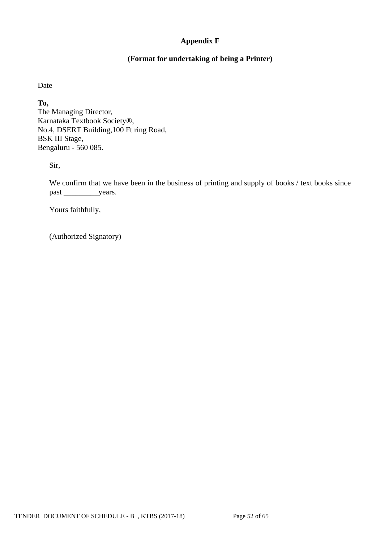# **Appendix F**

# **(Format for undertaking of being a Printer)**

Date

**To,** The Managing Director, Karnataka Textbook Society®, No.4, DSERT Building,100 Ft ring Road, BSK III Stage, Bengaluru - 560 085.

Sir,

We confirm that we have been in the business of printing and supply of books / text books since past \_\_\_\_\_\_\_\_\_\_\_\_\_\_\_years.

Yours faithfully,

(Authorized Signatory)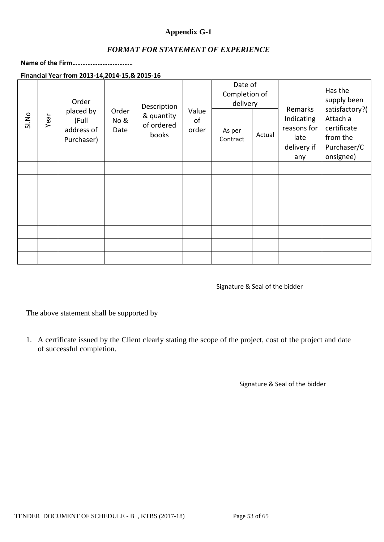# **Appendix G-1**

# *FORMAT FOR STATEMENT OF EXPERIENCE*

**Name of the Firm………………………………**

**Financial Year from 2013-14,2014-15,& 2015-16**

|       |      | Order                                          |                       | Description                       |                      | Date of<br>Completion of<br>delivery |        | Remarks                                                 | Has the<br>supply been<br>satisfactory?(                        |
|-------|------|------------------------------------------------|-----------------------|-----------------------------------|----------------------|--------------------------------------|--------|---------------------------------------------------------|-----------------------------------------------------------------|
| Sl.No | Year | placed by<br>(Full<br>address of<br>Purchaser) | Order<br>No &<br>Date | & quantity<br>of ordered<br>books | Value<br>of<br>order | As per<br>Contract                   | Actual | Indicating<br>reasons for<br>late<br>delivery if<br>any | Attach a<br>certificate<br>from the<br>Purchaser/C<br>onsignee) |
|       |      |                                                |                       |                                   |                      |                                      |        |                                                         |                                                                 |
|       |      |                                                |                       |                                   |                      |                                      |        |                                                         |                                                                 |
|       |      |                                                |                       |                                   |                      |                                      |        |                                                         |                                                                 |
|       |      |                                                |                       |                                   |                      |                                      |        |                                                         |                                                                 |
|       |      |                                                |                       |                                   |                      |                                      |        |                                                         |                                                                 |
|       |      |                                                |                       |                                   |                      |                                      |        |                                                         |                                                                 |
|       |      |                                                |                       |                                   |                      |                                      |        |                                                         |                                                                 |
|       |      |                                                |                       |                                   |                      |                                      |        |                                                         |                                                                 |

#### Signature & Seal of the bidder

The above statement shall be supported by

1. A certificate issued by the Client clearly stating the scope of the project, cost of the project and date of successful completion.

Signature & Seal of the bidder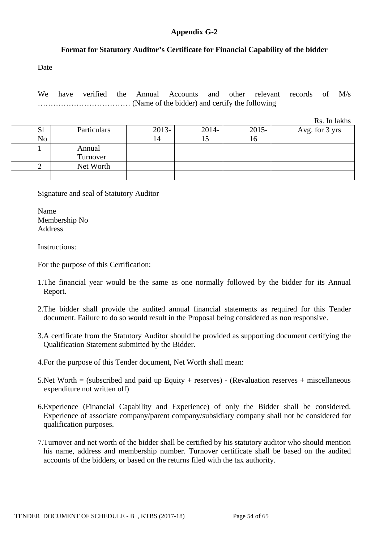## **Appendix G-2**

## **Format for Statutory Auditor's Certificate for Financial Capability of the bidder**

Date

We have verified the Annual Accounts and other relevant records of M/s ……………………………… (Name of the bidder) and certify the following

Rs. In lakhs

| S <sub>1</sub> | Particulars | $2013-$ | 2014- | $2015 -$ | Avg. for 3 yrs |
|----------------|-------------|---------|-------|----------|----------------|
| No             |             | 14      |       | 16       |                |
|                | Annual      |         |       |          |                |
|                | Turnover    |         |       |          |                |
|                | Net Worth   |         |       |          |                |
|                |             |         |       |          |                |

Signature and seal of Statutory Auditor

Name Membership No Address

Instructions:

For the purpose of this Certification:

- 1.The financial year would be the same as one normally followed by the bidder for its Annual Report.
- 2.The bidder shall provide the audited annual financial statements as required for this Tender document. Failure to do so would result in the Proposal being considered as non responsive.
- 3.A certificate from the Statutory Auditor should be provided as supporting document certifying the Qualification Statement submitted by the Bidder.
- 4.For the purpose of this Tender document, Net Worth shall mean:
- 5.Net Worth = (subscribed and paid up Equity + reserves) (Revaluation reserves + miscellaneous expenditure not written off)
- 6.Experience (Financial Capability and Experience) of only the Bidder shall be considered. Experience of associate company/parent company/subsidiary company shall not be considered for qualification purposes.
- 7.Turnover and net worth of the bidder shall be certified by his statutory auditor who should mention his name, address and membership number. Turnover certificate shall be based on the audited accounts of the bidders, or based on the returns filed with the tax authority.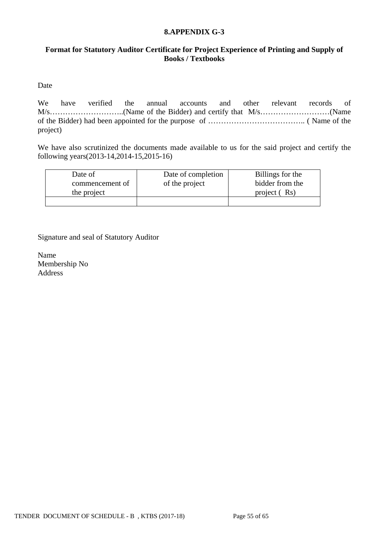## **8.APPENDIX G-3**

# **Format for Statutory Auditor Certificate for Project Experience of Printing and Supply of Books / Textbooks**

Date

We have verified the annual accounts and other relevant records of M/s………………………..(Name of the Bidder) and certify that M/s………………………(Name of the Bidder) had been appointed for the purpose of ……………………………….. ( Name of the project)

We have also scrutinized the documents made available to us for the said project and certify the following years(2013-14,2014-15,2015-16)

| Date of         | Date of completion | Billings for the |
|-----------------|--------------------|------------------|
| commencement of | of the project     | bidder from the  |
| the project     |                    | project (Rs)     |
|                 |                    |                  |

Signature and seal of Statutory Auditor

Name Membership No Address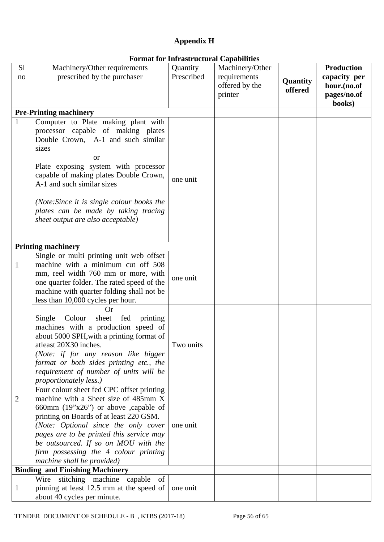# **Appendix H**

| S1           | Machinery/Other requirements                                         | I of mut for this user actural cupublished<br>Quantity | Machinery/Other |          | <b>Production</b> |
|--------------|----------------------------------------------------------------------|--------------------------------------------------------|-----------------|----------|-------------------|
| no           | prescribed by the purchaser                                          | Prescribed                                             | requirements    |          | capacity per      |
|              |                                                                      |                                                        | offered by the  | Quantity | hour.(no.of       |
|              |                                                                      |                                                        |                 | offered  | pages/no.of       |
|              |                                                                      |                                                        | printer         |          | books)            |
|              | <b>Pre-Printing machinery</b>                                        |                                                        |                 |          |                   |
| $\mathbf{1}$ | Computer to Plate making plant with                                  |                                                        |                 |          |                   |
|              | processor capable of making plates                                   |                                                        |                 |          |                   |
|              | Double Crown, A-1 and such similar                                   |                                                        |                 |          |                   |
|              | sizes                                                                |                                                        |                 |          |                   |
|              |                                                                      |                                                        |                 |          |                   |
|              | or                                                                   |                                                        |                 |          |                   |
|              | Plate exposing system with processor                                 |                                                        |                 |          |                   |
|              | capable of making plates Double Crown,<br>A-1 and such similar sizes | one unit                                               |                 |          |                   |
|              |                                                                      |                                                        |                 |          |                   |
|              | (Note: Since it is single colour books the                           |                                                        |                 |          |                   |
|              | plates can be made by taking tracing                                 |                                                        |                 |          |                   |
|              | sheet output are also acceptable)                                    |                                                        |                 |          |                   |
|              |                                                                      |                                                        |                 |          |                   |
|              |                                                                      |                                                        |                 |          |                   |
|              | <b>Printing machinery</b>                                            |                                                        |                 |          |                   |
|              | Single or multi printing unit web offset                             |                                                        |                 |          |                   |
| $\mathbf{1}$ | machine with a minimum cut off 508                                   |                                                        |                 |          |                   |
|              | mm, reel width 760 mm or more, with                                  |                                                        |                 |          |                   |
|              | one quarter folder. The rated speed of the                           | one unit                                               |                 |          |                   |
|              | machine with quarter folding shall not be                            |                                                        |                 |          |                   |
|              | less than 10,000 cycles per hour.                                    |                                                        |                 |          |                   |
|              | <b>Or</b>                                                            |                                                        |                 |          |                   |
|              | Single Colour<br>sheet<br>fed<br>printing                            |                                                        |                 |          |                   |
|              | machines with a production speed of                                  |                                                        |                 |          |                   |
|              | about 5000 SPH, with a printing format of                            |                                                        |                 |          |                   |
|              | atleast 20X30 inches.                                                | Two units                                              |                 |          |                   |
|              | (Note: if for any reason like bigger                                 |                                                        |                 |          |                   |
|              | format or both sides printing etc., the                              |                                                        |                 |          |                   |
|              | requirement of number of units will be                               |                                                        |                 |          |                   |
|              | <i>proportionately less.)</i>                                        |                                                        |                 |          |                   |
|              | Four colour sheet fed CPC offset printing                            |                                                        |                 |          |                   |
| 2            | machine with a Sheet size of 485mm X                                 |                                                        |                 |          |                   |
|              | 660mm $(19"x26")$ or above ,capable of                               |                                                        |                 |          |                   |
|              | printing on Boards of at least 220 GSM.                              |                                                        |                 |          |                   |
|              | (Note: Optional since the only cover                                 | one unit                                               |                 |          |                   |
|              | pages are to be printed this service may                             |                                                        |                 |          |                   |
|              | be outsourced. If so on MOU with the                                 |                                                        |                 |          |                   |
|              | firm possessing the 4 colour printing                                |                                                        |                 |          |                   |
|              | machine shall be provided)<br><b>Binding and Finishing Machinery</b> |                                                        |                 |          |                   |
|              | Wire stitching machine<br>capable<br>of                              |                                                        |                 |          |                   |
| 1            | pinning at least 12.5 mm at the speed of                             | one unit                                               |                 |          |                   |
|              | about 40 cycles per minute.                                          |                                                        |                 |          |                   |
|              |                                                                      |                                                        |                 |          |                   |

# **Format for Infrastructural Capabilities**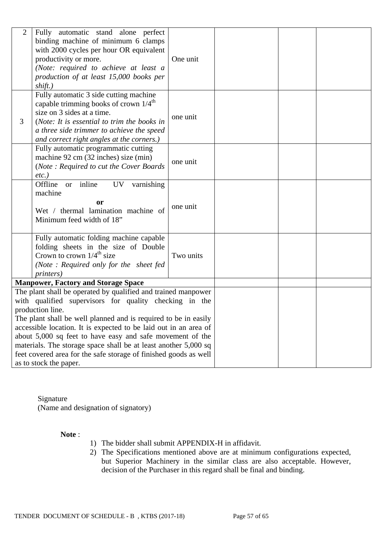| $\overline{2}$ | Fully automatic stand alone perfect<br>binding machine of minimum 6 clamps<br>with 2000 cycles per hour OR equivalent<br>productivity or more.<br>(Note: required to achieve at least a<br>production of at least 15,000 books per<br>shift.)                                                                                                                                                                                                                                                                    | One unit  |  |  |
|----------------|------------------------------------------------------------------------------------------------------------------------------------------------------------------------------------------------------------------------------------------------------------------------------------------------------------------------------------------------------------------------------------------------------------------------------------------------------------------------------------------------------------------|-----------|--|--|
| 3              | Fully automatic 3 side cutting machine<br>capable trimming books of crown $1/4^{\text{th}}$<br>size on 3 sides at a time.<br>(Note: It is essential to trim the books in<br>a three side trimmer to achieve the speed<br>and correct right angles at the corners.)                                                                                                                                                                                                                                               | one unit  |  |  |
|                | Fully automatic programmatic cutting<br>machine 92 cm (32 inches) size (min)<br>(Note: Required to cut the Cover Boards<br>$etc.$ )                                                                                                                                                                                                                                                                                                                                                                              | one unit  |  |  |
|                | inline<br>varnishing<br>Offline<br>UV<br><b>or</b><br>machine<br><b>or</b><br>Wet / thermal lamination machine of<br>Minimum feed width of 18"                                                                                                                                                                                                                                                                                                                                                                   | one unit  |  |  |
|                | Fully automatic folding machine capable<br>folding sheets in the size of Double<br>Crown to crown $1/4^{\text{th}}$ size<br>(Note: Required only for the sheet fed<br><i>printers</i> )                                                                                                                                                                                                                                                                                                                          | Two units |  |  |
|                | <b>Manpower, Factory and Storage Space</b>                                                                                                                                                                                                                                                                                                                                                                                                                                                                       |           |  |  |
|                | The plant shall be operated by qualified and trained manpower<br>with qualified supervisors for quality checking in the<br>production line.<br>The plant shall be well planned and is required to be in easily<br>accessible location. It is expected to be laid out in an area of<br>about 5,000 sq feet to have easy and safe movement of the<br>materials. The storage space shall be at least another 5,000 sq<br>feet covered area for the safe storage of finished goods as well<br>as to stock the paper. |           |  |  |

Signature (Name and designation of signatory)

## **Note** :

- 1) The bidder shall submit APPENDIX-H in affidavit.
- 2) The Specifications mentioned above are at minimum configurations expected, but Superior Machinery in the similar class are also acceptable. However, decision of the Purchaser in this regard shall be final and binding.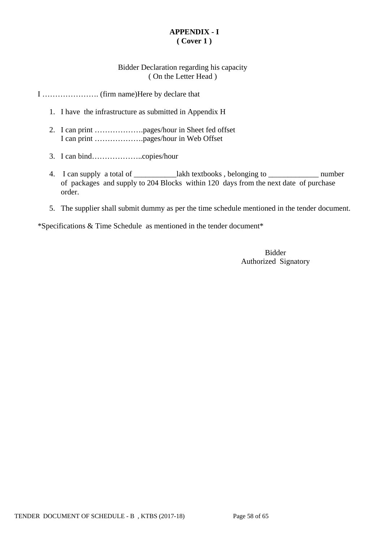# **APPENDIX - I ( Cover 1 )**

# Bidder Declaration regarding his capacity ( On the Letter Head )

# I …………………. (firm name)Here by declare that

- 1. I have the infrastructure as submitted in Appendix H
- 2. I can print ……………….pages/hour in Sheet fed offset I can print ……………….pages/hour in Web Offset
- 3. I can bind………………..copies/hour
- 4. I can supply a total of \_\_\_\_\_\_\_\_\_\_\_\_\_lakh textbooks, belonging to \_\_\_\_\_\_\_\_\_\_\_\_\_\_\_\_\_\_ number of packages and supply to 204 Blocks within 120 days from the next date of purchase order.
- 5. The supplier shall submit dummy as per the time schedule mentioned in the tender document.

\*Specifications & Time Schedule as mentioned in the tender document\*

Bidder Authorized Signatory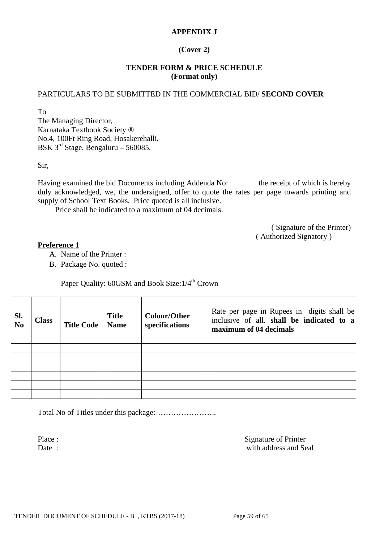## **APPENDIX J**

# **(Cover 2)**

## **TENDER FORM & PRICE SCHEDULE (Format only)**

## PARTICULARS TO BE SUBMITTED IN THE COMMERCIAL BID/ **SECOND COVER**

To The Managing Director, Karnataka Textbook Society ® No.4, 100Ft Ring Road, Hosakerehalli, BSK 3rd Stage, Bengaluru – 560085.

Sir,

Having examined the bid Documents including Addenda No: the receipt of which is hereby duly acknowledged, we, the undersigned, offer to quote the rates per page towards printing and supply of School Text Books. Price quoted is all inclusive.

Price shall be indicated to a maximum of 04 decimals.

( Signature of the Printer) ( Authorized Signatory )

#### **Preference 1**

- A. Name of the Printer :
- B. Package No. quoted :

Paper Quality: 60GSM and Book Size:  $1/4^{th}$  Crown

| Sl.<br>$\overline{\text{No}}$ | <b>Class</b> | <b>Title Code</b> | <b>Title</b><br><b>Name</b> | <b>Colour/Other</b><br>specifications | Rate per page in Rupees in digits shall be<br>inclusive of all. shall be indicated to a<br>maximum of 04 decimals |
|-------------------------------|--------------|-------------------|-----------------------------|---------------------------------------|-------------------------------------------------------------------------------------------------------------------|
|                               |              |                   |                             |                                       |                                                                                                                   |
|                               |              |                   |                             |                                       |                                                                                                                   |
|                               |              |                   |                             |                                       |                                                                                                                   |
|                               |              |                   |                             |                                       |                                                                                                                   |
|                               |              |                   |                             |                                       |                                                                                                                   |
|                               |              |                   |                             |                                       |                                                                                                                   |

Total No of Titles under this package:-…………………..

Place : Signature of Printer Date : with address and Seal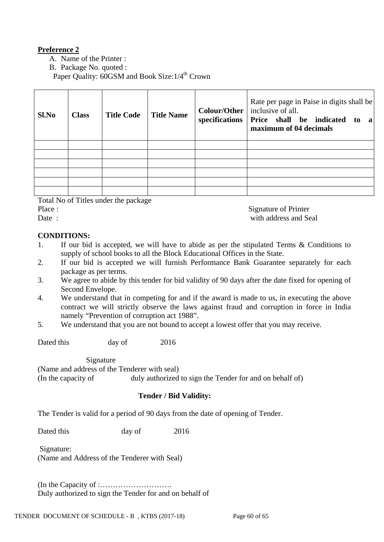# **Preference 2**

A. Name of the Printer :

B. Package No. quoted :

Paper Quality: 60GSM and Book Size:  $1/4^{\text{th}}$  Crown

| Sl.No | <b>Class</b> | <b>Title Code</b> | <b>Title Name</b> | Rate per page in Paise in digits shall be<br><b>Colour/Other</b>   inclusive of all.<br>specifications   Price shall be indicated to<br>$\mathbf{a}$<br>maximum of 04 decimals |
|-------|--------------|-------------------|-------------------|--------------------------------------------------------------------------------------------------------------------------------------------------------------------------------|
|       |              |                   |                   |                                                                                                                                                                                |
|       |              |                   |                   |                                                                                                                                                                                |
|       |              |                   |                   |                                                                                                                                                                                |
|       |              |                   |                   |                                                                                                                                                                                |
|       |              |                   |                   |                                                                                                                                                                                |
|       |              |                   |                   |                                                                                                                                                                                |

Total No of Titles under the package Place : Signature of Printer

Date : with address and Seal

# **CONDITIONS:**

- 1. If our bid is accepted, we will have to abide as per the stipulated Terms & Conditions to supply of school books to all the Block Educational Offices in the State.
- 2. If our bid is accepted we will furnish Performance Bank Guarantee separately for each package as per terms.
- 3. We agree to abide by this tender for bid validity of 90 days after the date fixed for opening of Second Envelope.
- 4. We understand that in competing for and if the award is made to us, in executing the above contract we will strictly observe the laws against fraud and corruption in force in India namely "Prevention of corruption act 1988".
- 5. We understand that you are not bound to accept a lowest offer that you may receive.

Dated this day of 2016

 Signature (Name and address of the Tenderer with seal) (In the capacity of duly authorized to sign the Tender for and on behalf of)

# **Tender / Bid Validity:**

The Tender is valid for a period of 90 days from the date of opening of Tender.

Dated this day of 2016

Signature: (Name and Address of the Tenderer with Seal)

(In the Capacity of :………………………. Duly authorized to sign the Tender for and on behalf of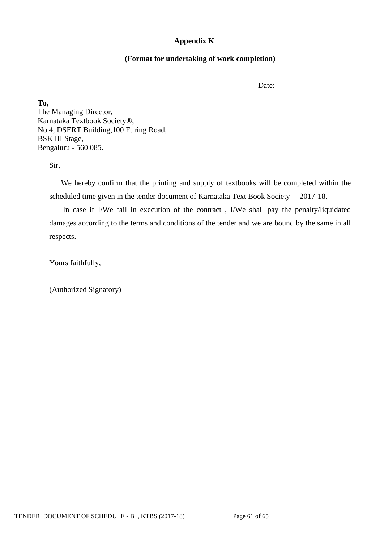# **Appendix K**

## **(Format for undertaking of work completion)**

Date:

**To,** The Managing Director, Karnataka Textbook Society®, No.4, DSERT Building,100 Ft ring Road, BSK III Stage, Bengaluru - 560 085.

Sir,

 We hereby confirm that the printing and supply of textbooks will be completed within the scheduled time given in the tender document of Karnataka Text Book Society 2017-18.

 In case if I/We fail in execution of the contract , I/We shall pay the penalty/liquidated damages according to the terms and conditions of the tender and we are bound by the same in all respects.

Yours faithfully,

(Authorized Signatory)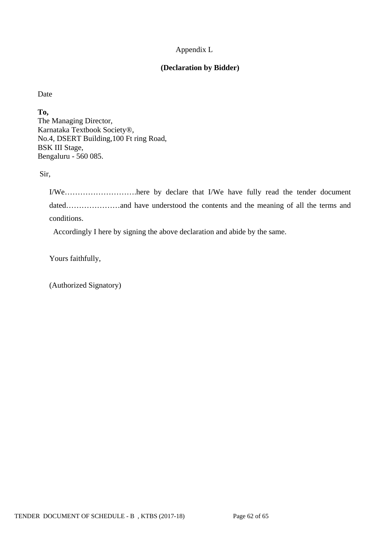# Appendix L

# **(Declaration by Bidder)**

Date

**To,** The Managing Director, Karnataka Textbook Society®, No.4, DSERT Building,100 Ft ring Road, BSK III Stage, Bengaluru - 560 085.

Sir,

I/We……………………….here by declare that I/We have fully read the tender document dated…………………and have understood the contents and the meaning of all the terms and conditions.

Accordingly I here by signing the above declaration and abide by the same.

Yours faithfully,

(Authorized Signatory)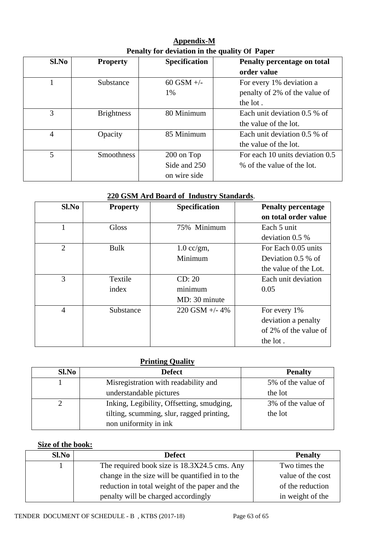**Appendix-M Penalty for deviation in the quality Of Paper**

| Sl.No | <b>Property</b>   | <b>Specification</b> | Penalty percentage on total     |
|-------|-------------------|----------------------|---------------------------------|
|       |                   |                      | order value                     |
| 1     | Substance         | $60$ GSM $+/-$       | For every 1% deviation a        |
|       |                   | 1%                   | penalty of 2% of the value of   |
|       |                   |                      | the lot.                        |
| 3     | <b>Brightness</b> | 80 Minimum           | Each unit deviation 0.5 % of    |
|       |                   |                      | the value of the lot.           |
| 4     | Opacity           | 85 Minimum           | Each unit deviation 0.5 % of    |
|       |                   |                      | the value of the lot.           |
| 5     | <b>Smoothness</b> | 200 on Top           | For each 10 units deviation 0.5 |
|       |                   | Side and 250         | % of the value of the lot.      |
|       |                   | on wire side         |                                 |

# **220 GSM Ard Board of Industry Standards**.

| $Sl$ .No       | <b>Property</b> | <b>Specification</b> | <b>Penalty percentage</b> |
|----------------|-----------------|----------------------|---------------------------|
|                |                 |                      | on total order value      |
|                | <b>Gloss</b>    | 75% Minimum          | Each 5 unit               |
|                |                 |                      | deviation $0.5\%$         |
| $\overline{2}$ | <b>Bulk</b>     | $1.0$ cc/gm,         | For Each 0.05 units       |
|                |                 | Minimum              | Deviation $0.5\%$ of      |
|                |                 |                      | the value of the Lot.     |
| 3              | Textile         | CD: 20               | Each unit deviation       |
|                | index           | minimum              | 0.05                      |
|                |                 | MD: 30 minute        |                           |
| 4              | Substance       | $220$ GSM $+/- 4\%$  | For every 1%              |
|                |                 |                      | deviation a penalty       |
|                |                 |                      | of 2% of the value of     |
|                |                 |                      | the lot.                  |

## **Printing Quality**

| Sl.No | <b>Defect</b>                             | <b>Penalty</b>     |  |
|-------|-------------------------------------------|--------------------|--|
|       | Misregistration with readability and      | 5% of the value of |  |
|       | understandable pictures                   | the lot            |  |
|       | Inking, Legibility, Offsetting, smudging, | 3% of the value of |  |
|       | tilting, scumming, slur, ragged printing, | the lot            |  |
|       | non uniformity in ink                     |                    |  |

# **Size of the book:**

| $Sl$ . No | <b>Defect</b>                                   | <b>Penalty</b>    |
|-----------|-------------------------------------------------|-------------------|
|           | The required book size is 18.3X24.5 cms. Any    | Two times the     |
|           | change in the size will be quantified in to the | value of the cost |
|           | reduction in total weight of the paper and the  | of the reduction  |
|           | penalty will be charged accordingly             | in weight of the  |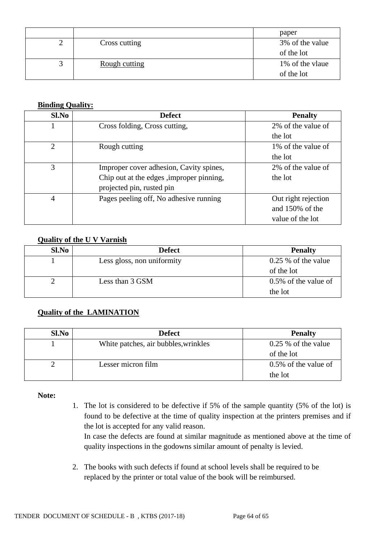|               | paper           |
|---------------|-----------------|
| Cross cutting | 3% of the value |
|               | of the lot      |
| Rough cutting | 1% of the vlaue |
|               | of the lot      |

## **Binding Quality:**

| Sl.No          | <b>Defect</b>                             | <b>Penalty</b>      |
|----------------|-------------------------------------------|---------------------|
|                | Cross folding, Cross cutting,             | 2% of the value of  |
|                |                                           | the lot             |
| $\overline{2}$ | Rough cutting                             | 1\% of the value of |
|                |                                           | the lot             |
| 3              | Improper cover adhesion, Cavity spines,   | 2% of the value of  |
|                | Chip out at the edges , improper pinning, | the lot             |
|                | projected pin, rusted pin                 |                     |
| 4              | Pages peeling off, No adhesive running    | Out right rejection |
|                |                                           | and 150% of the     |
|                |                                           | value of the lot    |

# **Quality of the U V Varnish**

| Sl.No | <b>Defect</b>              | <b>Penalty</b>        |
|-------|----------------------------|-----------------------|
|       | Less gloss, non uniformity | $0.25\%$ of the value |
|       |                            | of the lot            |
|       | Less than 3 GSM            | 0.5% of the value of  |
|       |                            | the lot               |

# **Quality of the LAMINATION**

| Sl.No | <b>Defect</b>                        | <b>Penalty</b>          |
|-------|--------------------------------------|-------------------------|
|       | White patches, air bubbles, wrinkles | $0.25\%$ of the value   |
|       |                                      | of the lot              |
|       | Lesser micron film                   | $0.5\%$ of the value of |
|       |                                      | the lot                 |

**Note:**

1. The lot is considered to be defective if 5% of the sample quantity (5% of the lot) is found to be defective at the time of quality inspection at the printers premises and if the lot is accepted for any valid reason.

In case the defects are found at similar magnitude as mentioned above at the time of quality inspections in the godowns similar amount of penalty is levied.

2. The books with such defects if found at school levels shall be required to be replaced by the printer or total value of the book will be reimbursed.